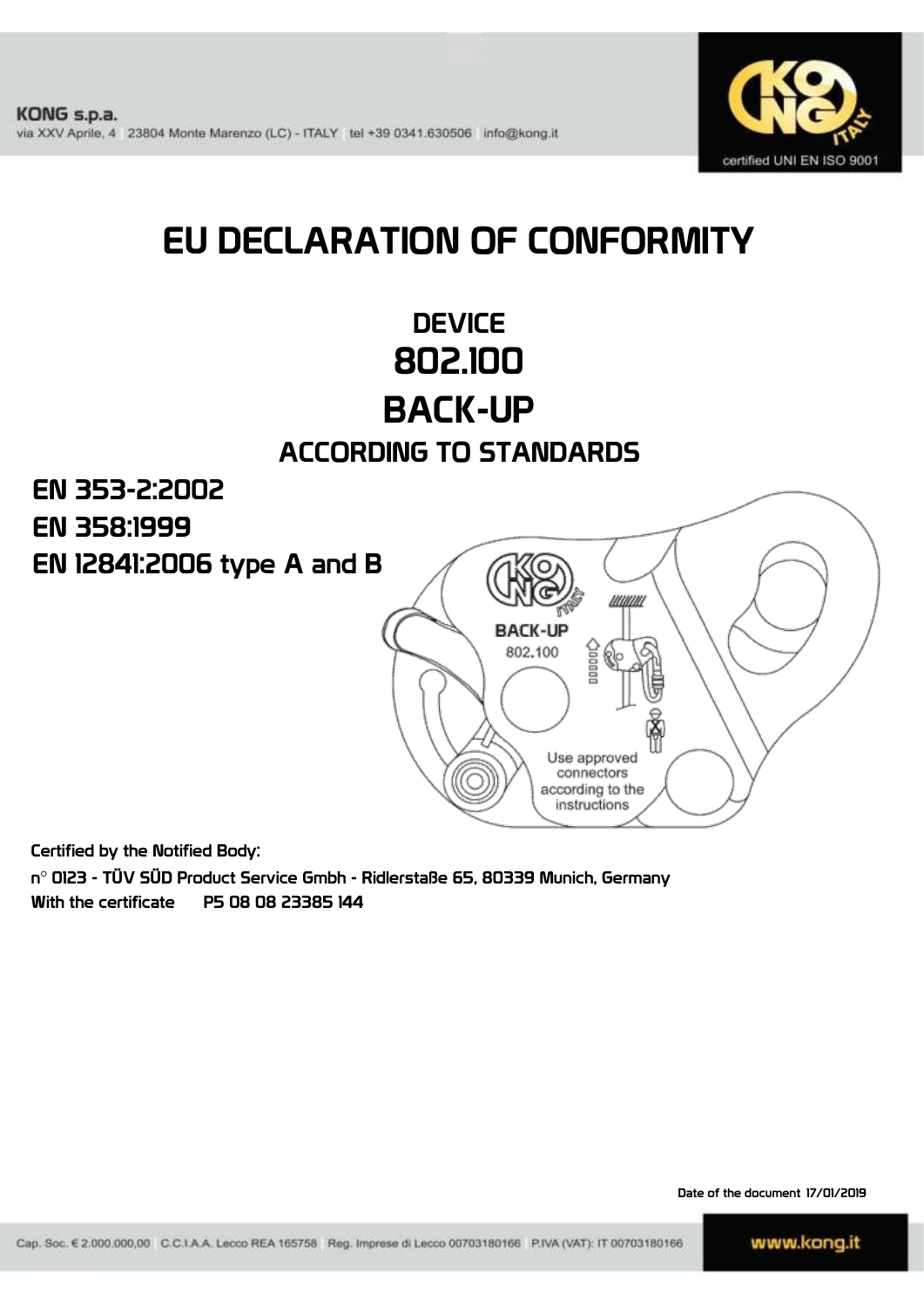

# EU DECLARATION OF CONFORMITY

# **DEVICE** 802.100 BACK-UP

### ACCORDING TO STANDARDS

EN 353-2:2002 EN 358:1999EN 12841:2006 type A and B uuuu **BACK-UP** 802,100 Use approved connectors according to the instructions

Certified by the Notified Body:

n° 0123 - TÜV SÜD Product Service Gmbh - Ridlerstaße 65, 80339 Munich, Germany With the certificate P5 08 08 23385 144

Date of the document 17/01/2019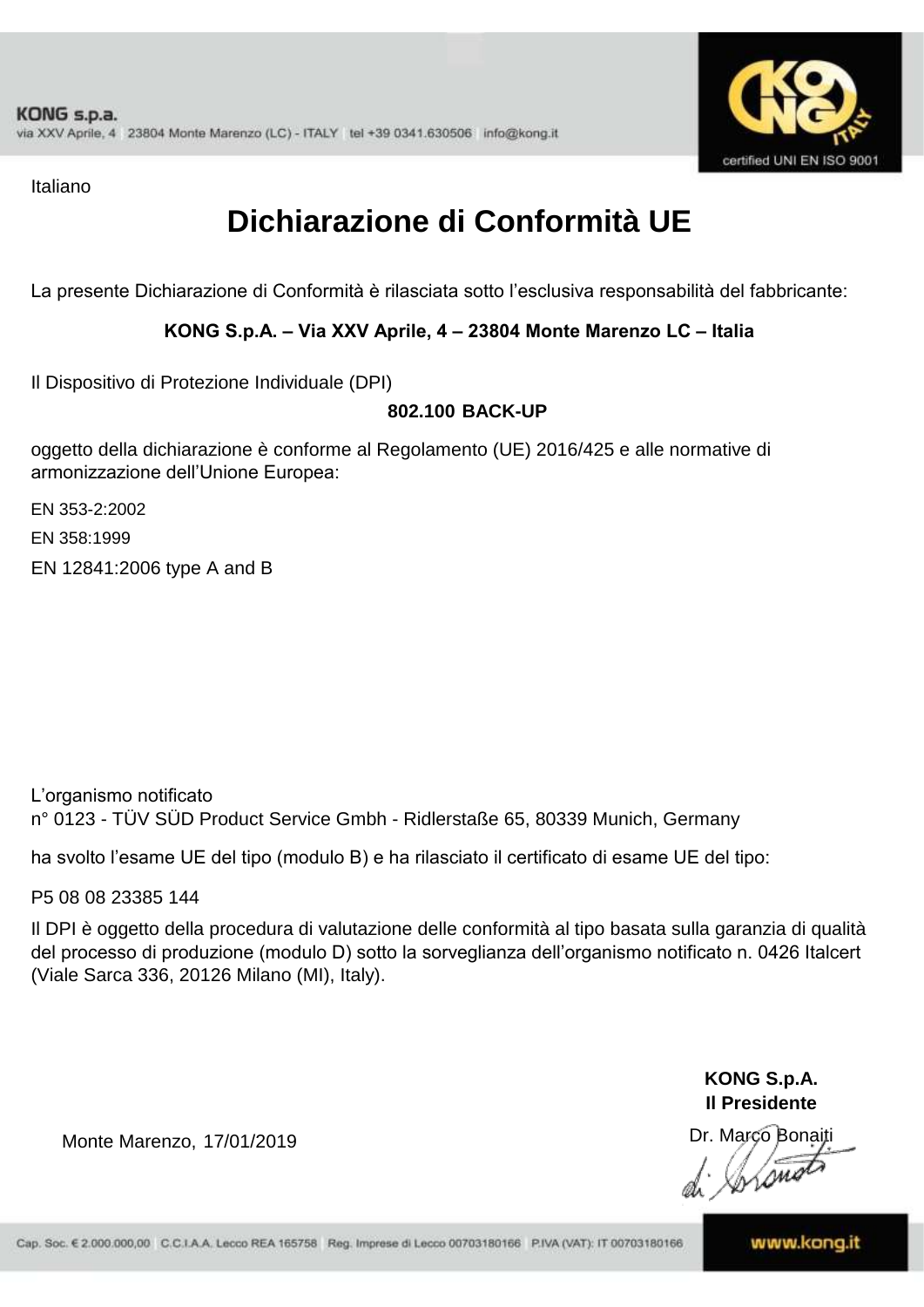

Italiano

## **Dichiarazione di Conformità UE**

La presente Dichiarazione di Conformità è rilasciata sotto l'esclusiva responsabilità del fabbricante:

#### **KONG S.p.A. – Via XXV Aprile, 4 – 23804 Monte Marenzo LC – Italia**

Il Dispositivo di Protezione Individuale (DPI)

#### **802.100 BACK-UP**

oggetto della dichiarazione è conforme al Regolamento (UE) 2016/425 e alle normative di armonizzazione dell'Unione Europea:

EN 353-2:2002

EN 358:1999

EN 12841:2006 type A and B

L'organismo notificato n° 0123 - TÜV SÜD Product Service Gmbh - Ridlerstaße 65, 80339 Munich, Germany

ha svolto l'esame UE del tipo (modulo B) e ha rilasciato il certificato di esame UE del tipo:

P5 08 08 23385 144

Il DPI è oggetto della procedura di valutazione delle conformità al tipo basata sulla garanzia di qualità del processo di produzione (modulo D) sotto la sorveglianza dell'organismo notificato n. 0426 Italcert (Viale Sarca 336, 20126 Milano (MI), Italy).

> **KONG S.p.A. Il Presidente**

Inons

Monte Marenzo, 17/01/2019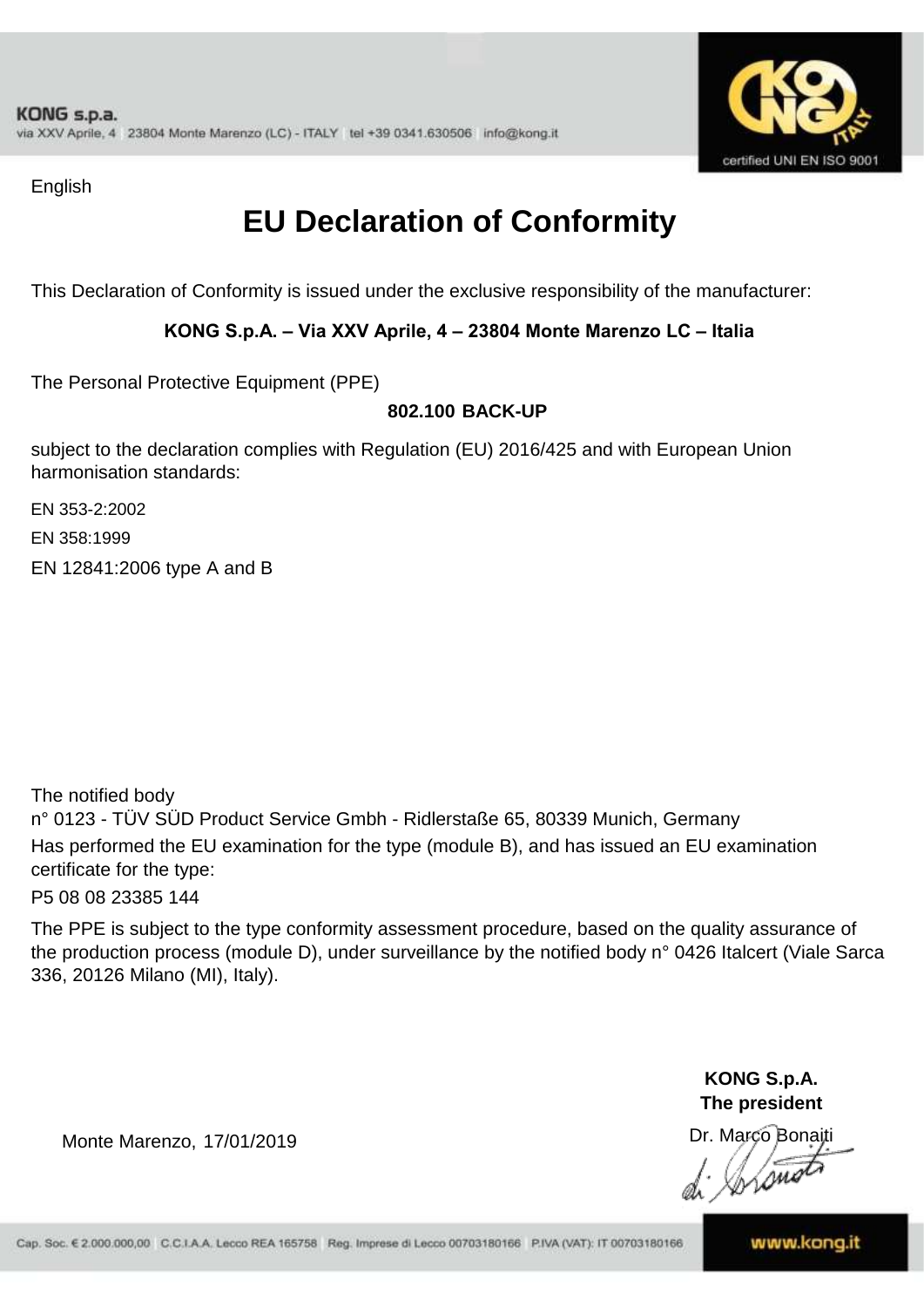

English

# **EU Declaration of Conformity**

This Declaration of Conformity is issued under the exclusive responsibility of the manufacturer:

#### **KONG S.p.A. – Via XXV Aprile, 4 – 23804 Monte Marenzo LC – Italia**

The Personal Protective Equipment (PPE)

### **802.100 BACK-UP**

subject to the declaration complies with Regulation (EU) 2016/425 and with European Union harmonisation standards:

EN 353-2:2002

EN 358:1999

EN 12841:2006 type A and B

The notified body n° 0123 - TÜV SÜD Product Service Gmbh - Ridlerstaße 65, 80339 Munich, Germany Has performed the EU examination for the type (module B), and has issued an EU examination certificate for the type:

P5 08 08 23385 144

The PPE is subject to the type conformity assessment procedure, based on the quality assurance of the production process (module D), under surveillance by the notified body n° 0426 Italcert (Viale Sarca 336, 20126 Milano (MI), Italy).

> **KONG S.p.A. The president**

Dr. Marco Bonaiti

Lom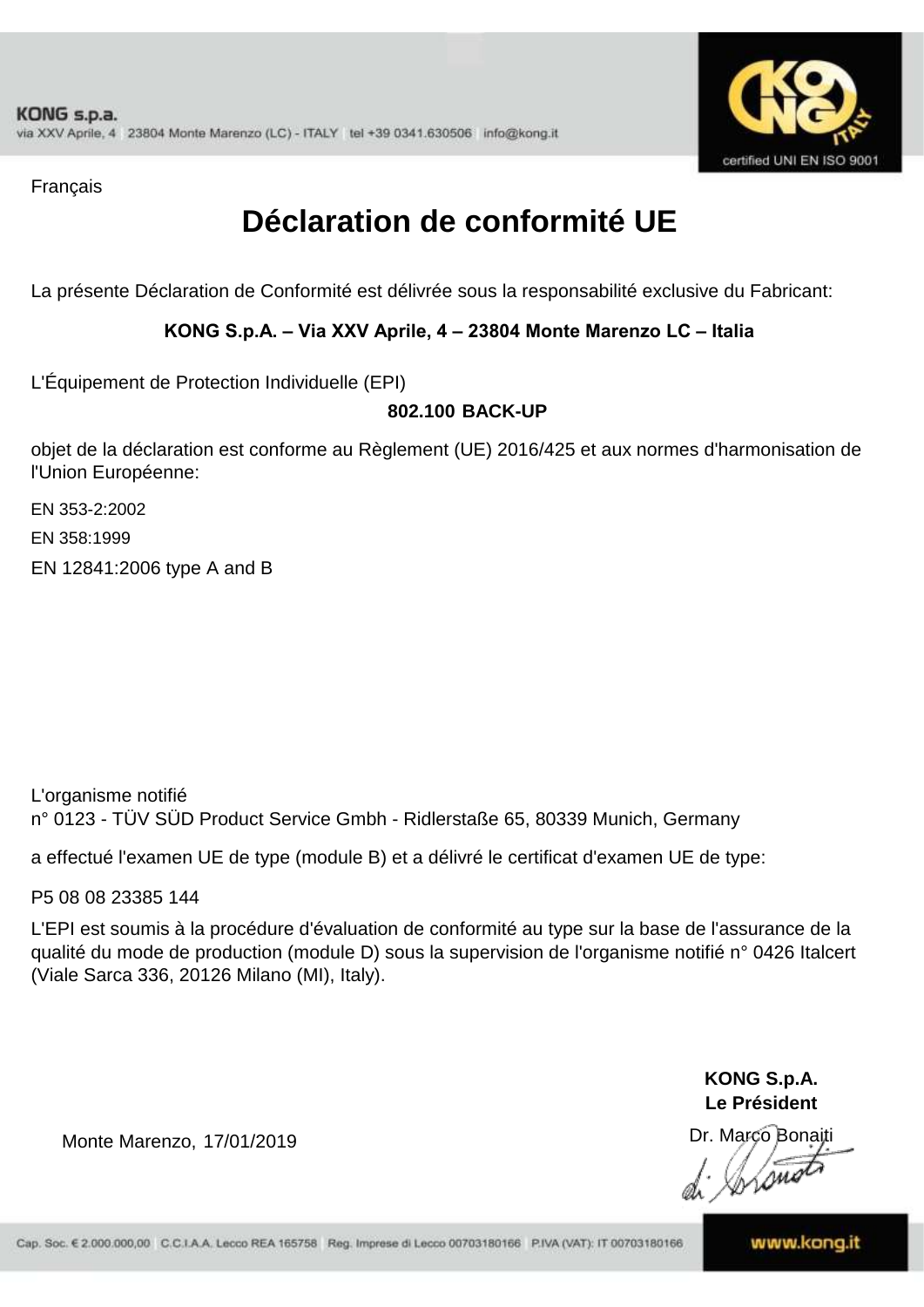

Français

## **Déclaration de conformité UE**

La présente Déclaration de Conformité est délivrée sous la responsabilité exclusive du Fabricant:

#### **KONG S.p.A. – Via XXV Aprile, 4 – 23804 Monte Marenzo LC – Italia**

L'Équipement de Protection Individuelle (EPI)

### **802.100 BACK-UP**

objet de la déclaration est conforme au Règlement (UE) 2016/425 et aux normes d'harmonisation de l'Union Européenne:

EN 353-2:2002

EN 358:1999

EN 12841:2006 type A and B

L'organisme notifié n° 0123 - TÜV SÜD Product Service Gmbh - Ridlerstaße 65, 80339 Munich, Germany

a effectué l'examen UE de type (module B) et a délivré le certificat d'examen UE de type:

P5 08 08 23385 144

L'EPI est soumis à la procédure d'évaluation de conformité au type sur la base de l'assurance de la qualité du mode de production (module D) sous la supervision de l'organisme notifié n° 0426 Italcert (Viale Sarca 336, 20126 Milano (MI), Italy).

> **KONG S.p.A. Le Président**

Dr. Marco Bonaiti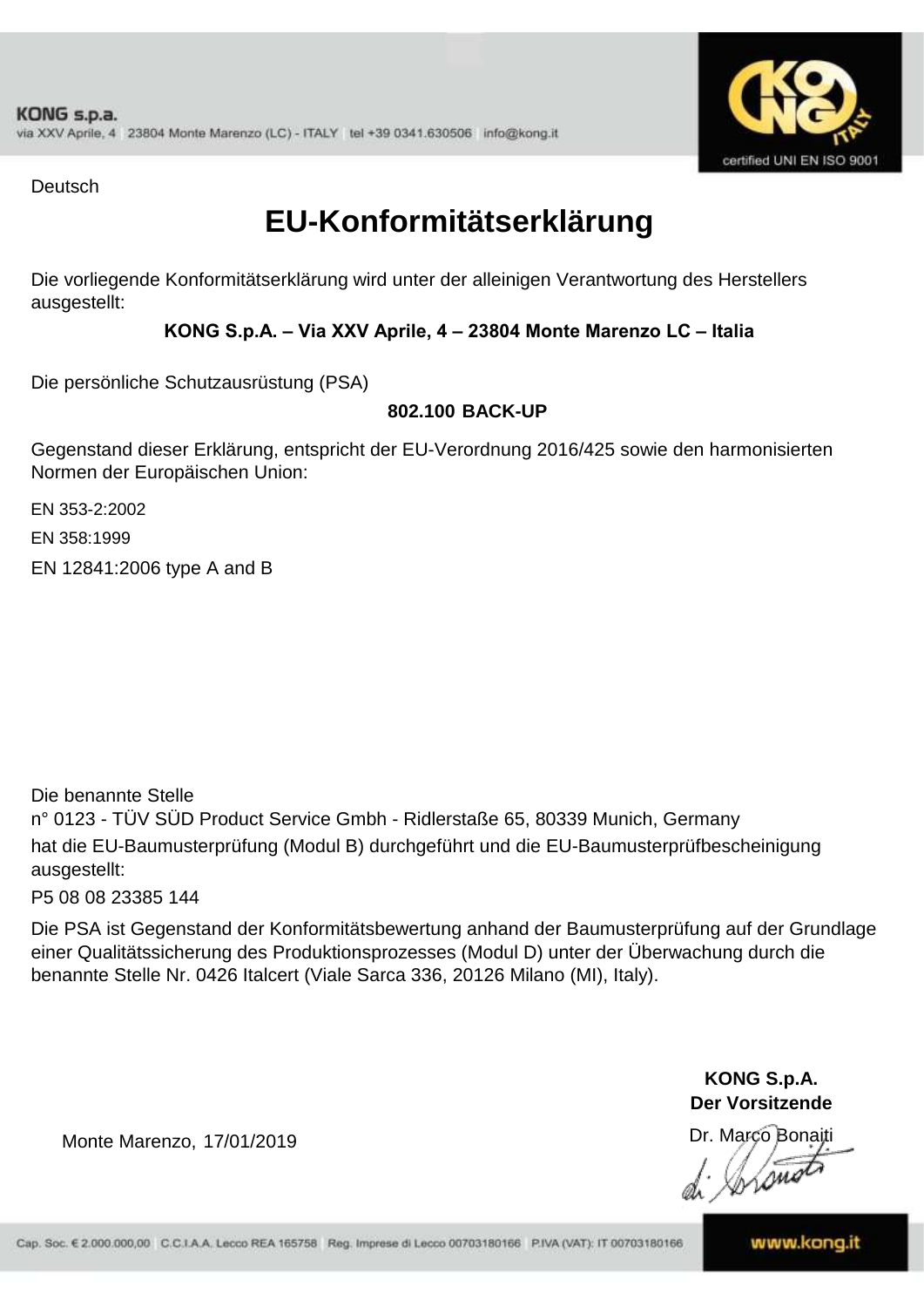

**Deutsch** 

### **EU-Konformitätserklärung**

Die vorliegende Konformitätserklärung wird unter der alleinigen Verantwortung des Herstellers ausgestellt:

### **KONG S.p.A. – Via XXV Aprile, 4 – 23804 Monte Marenzo LC – Italia**

Die persönliche Schutzausrüstung (PSA)

### **802.100 BACK-UP**

Gegenstand dieser Erklärung, entspricht der EU-Verordnung 2016/425 sowie den harmonisierten Normen der Europäischen Union:

EN 353-2:2002

EN 358:1999

EN 12841:2006 type A and B

n° 0123 - TÜV SÜD Product Service Gmbh - Ridlerstaße 65, 80339 Munich, Germany hat die EU-Baumusterprüfung (Modul B) durchgeführt und die EU-Baumusterprüfbescheinigung ausgestellt: Die benannte Stelle

P5 08 08 23385 144

Die PSA ist Gegenstand der Konformitätsbewertung anhand der Baumusterprüfung auf der Grundlage einer Qualitätssicherung des Produktionsprozesses (Modul D) unter der Überwachung durch die benannte Stelle Nr. 0426 Italcert (Viale Sarca 336, 20126 Milano (MI), Italy).

> **KONG S.p.A. Der Vorsitzende**

Dr. Marco Bonaiti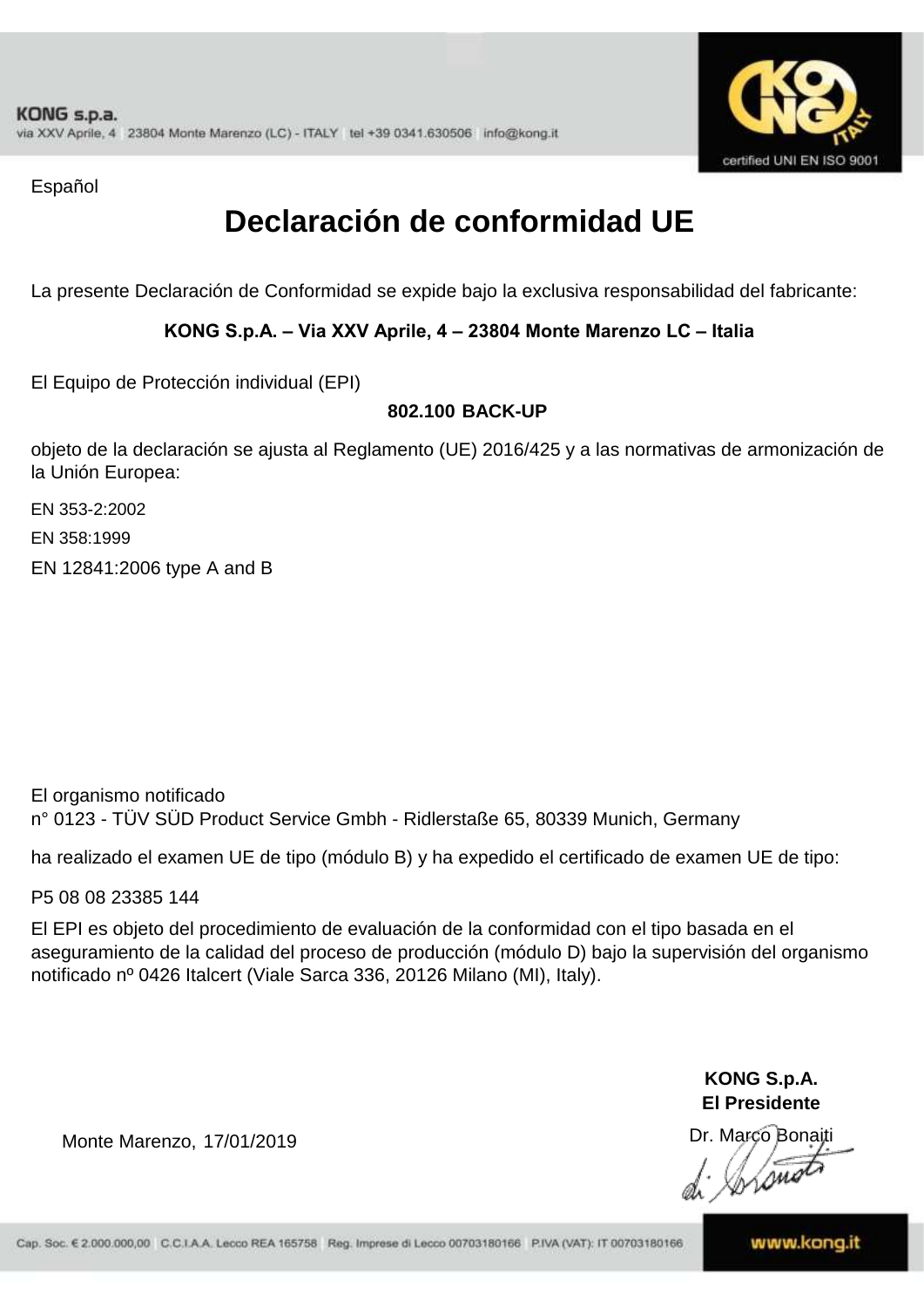

Español

### **Declaración de conformidad UE**

La presente Declaración de Conformidad se expide bajo la exclusiva responsabilidad del fabricante:

### **KONG S.p.A. – Via XXV Aprile, 4 – 23804 Monte Marenzo LC – Italia**

El Equipo de Protección individual (EPI)

### **802.100 BACK-UP**

objeto de la declaración se ajusta al Reglamento (UE) 2016/425 y a las normativas de armonización de la Unión Europea:

EN 358:1999 EN 353-2:2002

EN 12841:2006 type A and B

El organismo notificado

n° 0123 - TÜV SÜD Product Service Gmbh - Ridlerstaße 65, 80339 Munich, Germany

ha realizado el examen UE de tipo (módulo B) y ha expedido el certificado de examen UE de tipo:

P5 08 08 23385 144

El EPI es objeto del procedimiento de evaluación de la conformidad con el tipo basada en el aseguramiento de la calidad del proceso de producción (módulo D) bajo la supervisión del organismo notificado nº 0426 Italcert (Viale Sarca 336, 20126 Milano (MI), Italy).

> **KONG S.p.A. El Presidente**

Dr. Marco Bonaiti

Monte Marenzo, 17/01/2019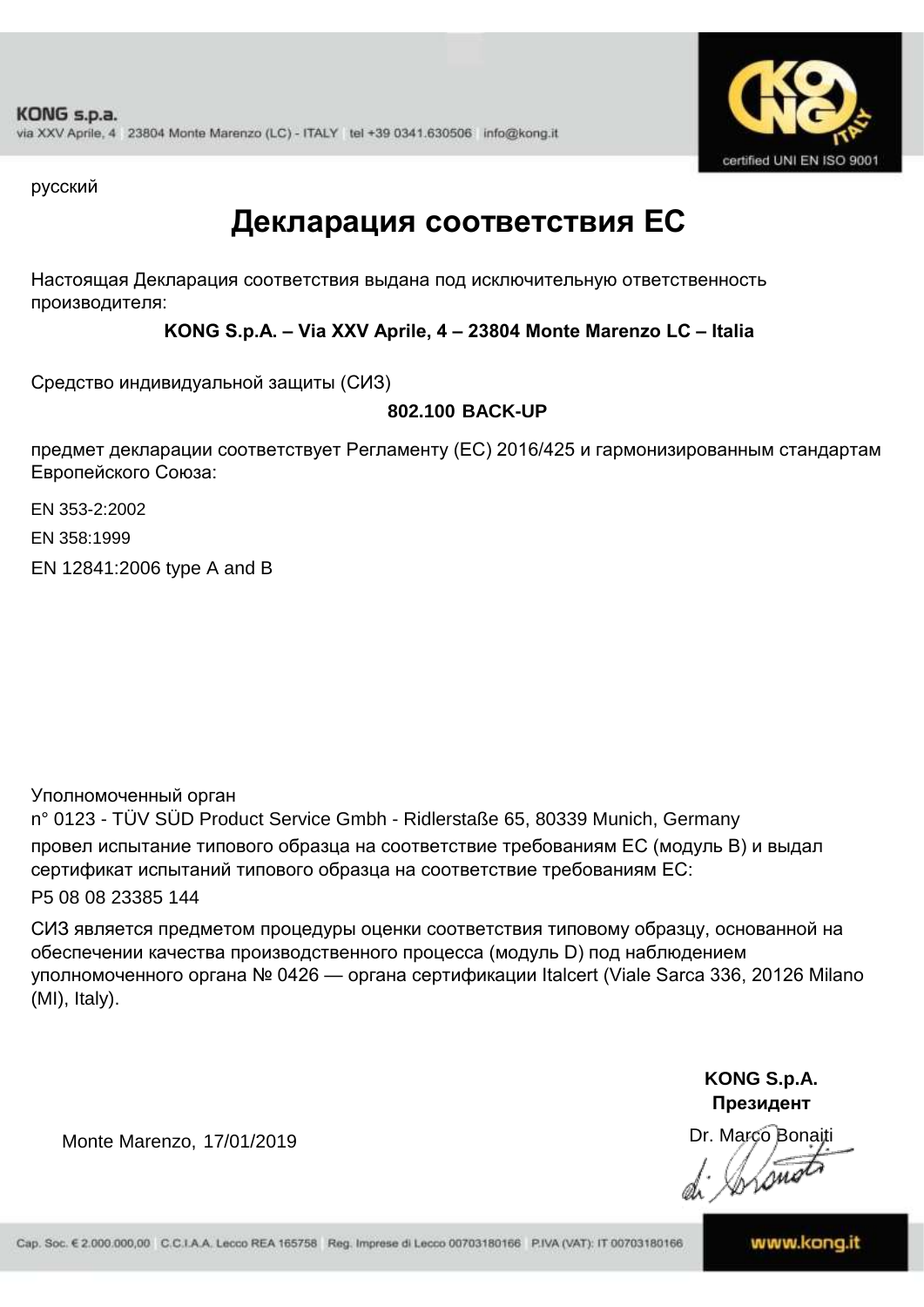

русский

### **Декларация соответствия ЕС**

Настоящая Декларация соответствия выдана под исключительную ответственность производителя:

**KONG S.p.A. – Via XXV Aprile, 4 – 23804 Monte Marenzo LC – Italia**

Средство индивидуальной защиты (СИЗ)

**802.100 BACK-UP**

предмет декларации соответствует Регламенту (ЕС) 2016/425 и гармонизированным стандартам Европейского Союза:

EN 353-2:2002

EN 358:1999

EN 12841:2006 type A and B

Уполномоченный орган

n° 0123 - TÜV SÜD Product Service Gmbh - Ridlerstaße 65, 80339 Munich, Germany провел испытание типового образца на соответствие требованиям ЕС (модуль B) и выдал сертификат испытаний типового образца на соответствие требованиям ЕС: P5 08 08 23385 144

СИЗ является предметом процедуры оценки соответствия типовому образцу, основанной на обеспечении качества производственного процесса (модуль D) под наблюдением уполномоченного органа № 0426 — органа сертификации Italcert (Viale Sarca 336, 20126 Milano (MI), Italy).

> **KONG S.p.A. Президент**

Dr. Marco Bonaiti Instru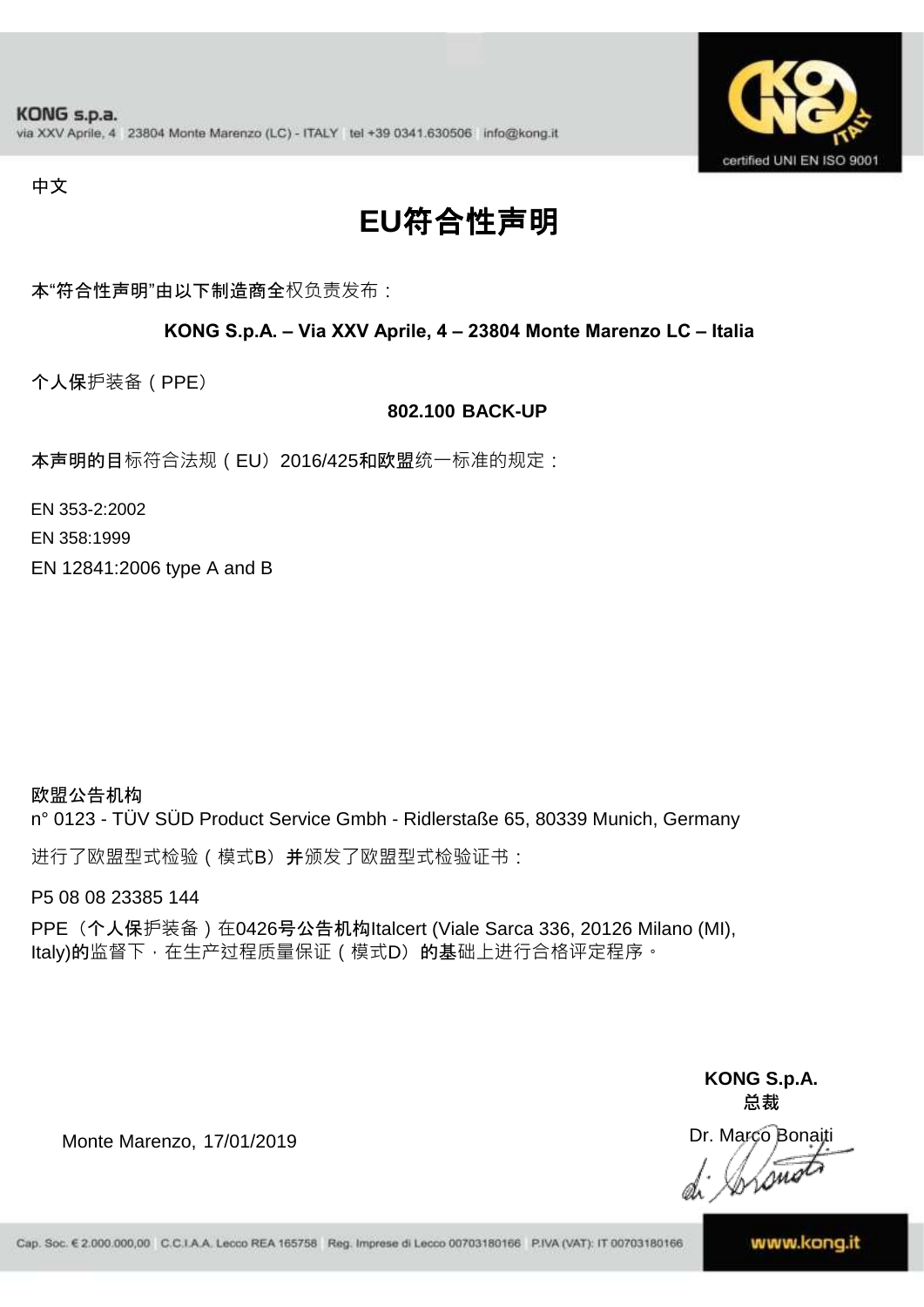

#### 中文

## **EU**符合性声明

本"符合性声明"由以下制造商全权负责发布:

#### **KONG S.p.A. – Via XXV Aprile, 4 – 23804 Monte Marenzo LC – Italia**

个人保护装备(PPE)

#### **802.100 BACK-UP**

本声明的目标符合法规 ( EU) 2016/425和欧盟统一标准的规定:

EN 353-2:2002

EN 358:1999

EN 12841:2006 type A and B

欧盟公告机构 n° 0123 - TÜV SÜD Product Service Gmbh - Ridlerstaße 65, 80339 Munich, Germany

进行了欧盟型式检验(模式B)并颁发了欧盟型式检验证书:

P5 08 08 23385 144

PPE (个人保护装备) 在0426号公告机构Italcert (Viale Sarca 336, 20126 Milano (MI), Italy)的监督下, 在生产过程质量保证 ( 模式D) 的基础上进行合格评定程序。

> **KONG S.p.A. 总裁**

Dr. Marco Bonaiti Lone

Monte Marenzo, 17/01/2019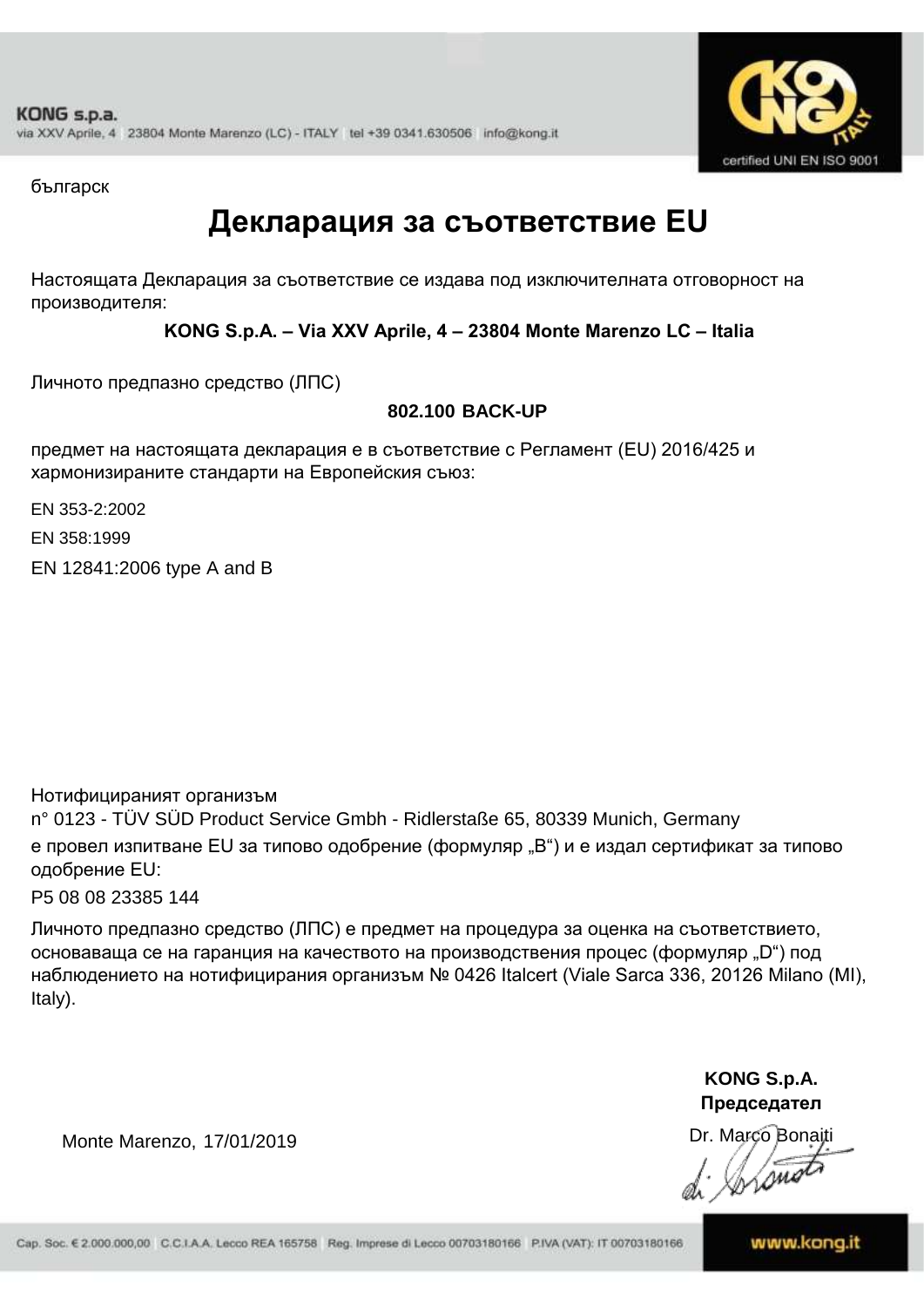

българск

### **Декларация за съответствие EU**

Настоящата Декларация за съответствие се издава под изключителната отговорност на производителя:

**KONG S.p.A. – Via XXV Aprile, 4 – 23804 Monte Marenzo LC – Italia**

Личното предпазно средство (ЛПС)

### **802.100 BACK-UP**

предмет на настоящата декларация е в съответствие с Регламент (ЕU) 2016/425 и хармонизираните стандарти на Европейския съюз:

EN 353-2:2002

EN 358:1999

EN 12841:2006 type A and B

Нотифицираният организъм

Monte Marenzo, 17/01/2019

n° 0123 - TÜV SÜD Product Service Gmbh - Ridlerstaße 65, 80339 Munich, Germany е провел изпитване EU за типово одобрение (формуляр "B") и е издал сертификат за типово одобрение ЕU:

P5 08 08 23385 144

Личното предпазно средство (ЛПС) е предмет на процедура за оценка на съответствието, основаваща се на гаранция на качеството на производствения процес (формуляр "D") под наблюдението на нотифицирания организъм № 0426 Italcert (Viale Sarca 336, 20126 Milano (MI), Italy).

> **KONG S.p.A. Председател**

Dr. Marco Bonaiti Wome

Cap. Soc. € 2.000.000,00 C.C.I.A.A. Lecco REA 165758 Reg. Imprese di Lecco 00703180166 P.IVA (VAT): IT 00703180166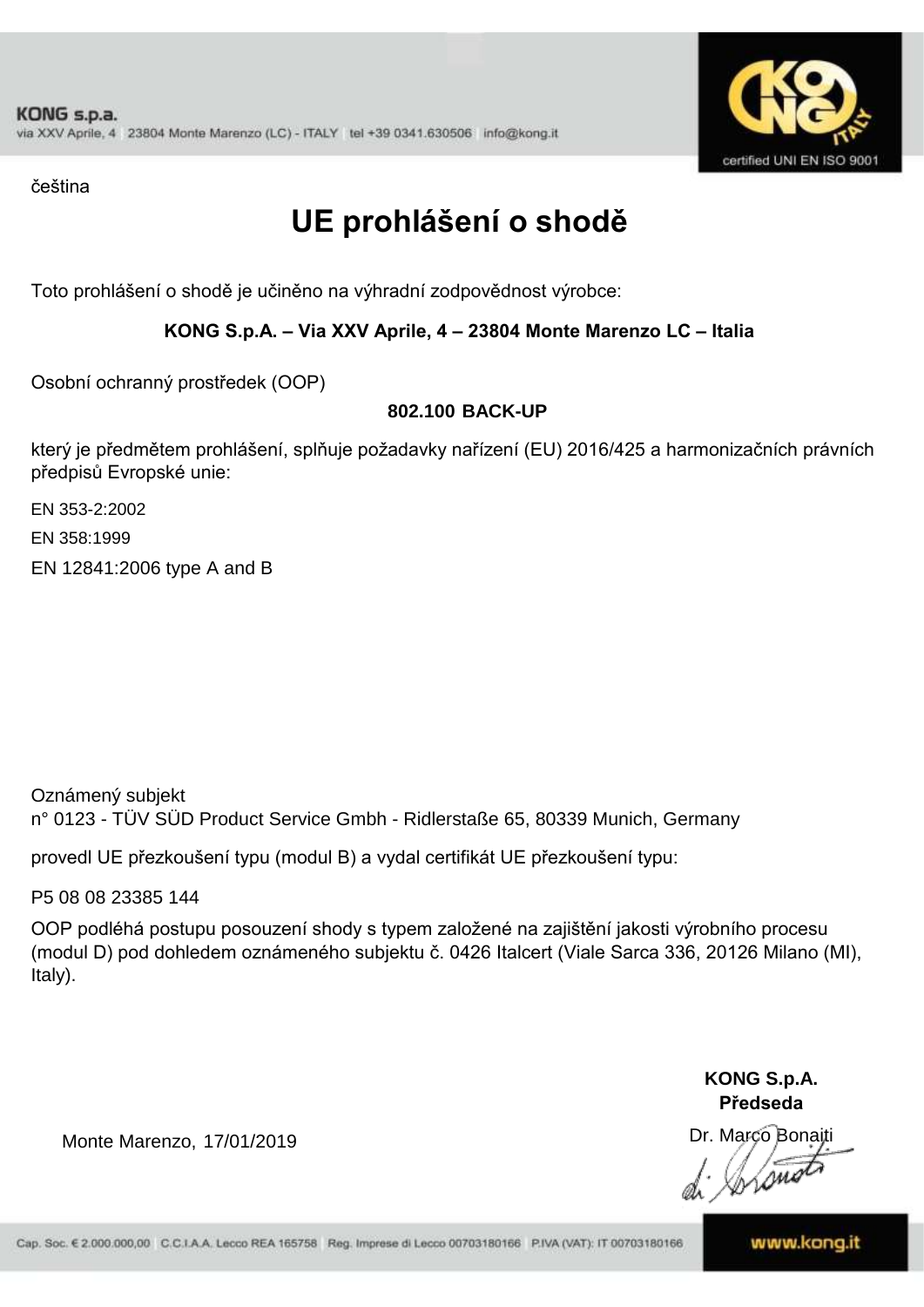

čeština

# **UE prohlášení o shodě**

Toto prohlášení o shodě je učiněno na výhradní zodpovědnost výrobce:

#### **KONG S.p.A. – Via XXV Aprile, 4 – 23804 Monte Marenzo LC – Italia**

Osobní ochranný prostředek (OOP)

### **802.100 BACK-UP**

který je předmětem prohlášení, splňuje požadavky nařízení (EU) 2016/425 a harmonizačních právních předpisů Evropské unie:

EN 353-2:2002

EN 358:1999

EN 12841:2006 type A and B

Oznámený subjekt n° 0123 - TÜV SÜD Product Service Gmbh - Ridlerstaße 65, 80339 Munich, Germany

provedl UE přezkoušení typu (modul B) a vydal certifikát UE přezkoušení typu:

P5 08 08 23385 144

OOP podléhá postupu posouzení shody s typem založené na zajištění jakosti výrobního procesu (modul D) pod dohledem oznámeného subjektu č. 0426 Italcert (Viale Sarca 336, 20126 Milano (MI), Italy).

> **KONG S.p.A. Předseda**

Dr. Marco Bonaiti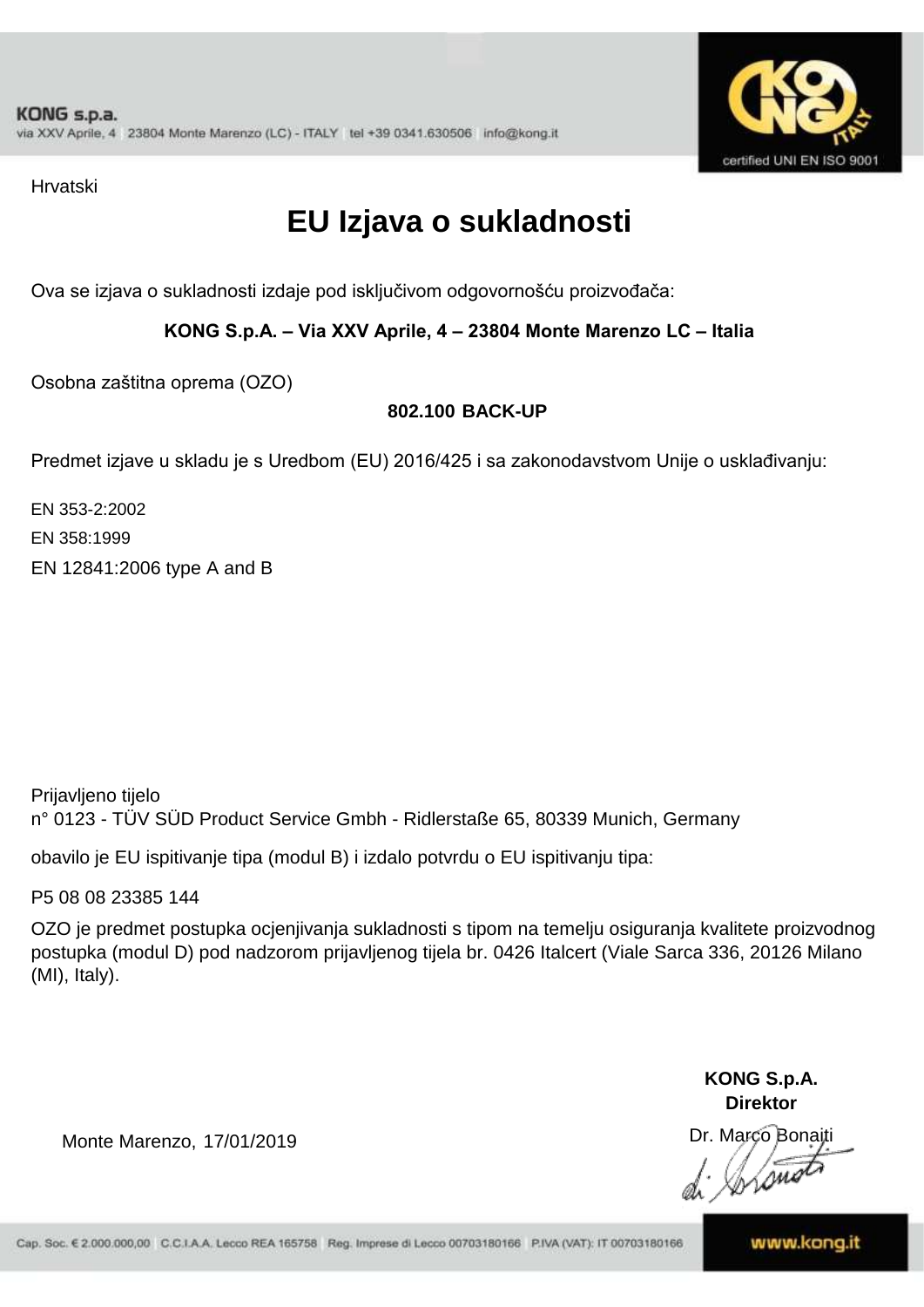

Hrvatski

## **EU Izjava o sukladnosti**

Ova se izjava o sukladnosti izdaje pod isključivom odgovornošću proizvođača:

**KONG S.p.A. – Via XXV Aprile, 4 – 23804 Monte Marenzo LC – Italia**

Osobna zaštitna oprema (OZO)

### **802.100 BACK-UP**

Predmet izjave u skladu je s Uredbom (EU) 2016/425 i sa zakonodavstvom Unije o usklađivanju:

EN 353-2:2002 EN 358:1999 EN 12841:2006 type A and B

Prijavljeno tijelo n° 0123 - TÜV SÜD Product Service Gmbh - Ridlerstaße 65, 80339 Munich, Germany

obavilo je EU ispitivanje tipa (modul B) i izdalo potvrdu o EU ispitivanju tipa:

P5 08 08 23385 144

OZO je predmet postupka ocjenjivanja sukladnosti s tipom na temelju osiguranja kvalitete proizvodnog postupka (modul D) pod nadzorom prijavljenog tijela br. 0426 Italcert (Viale Sarca 336, 20126 Milano (MI), Italy).

> **KONG S.p.A. Direktor**

Dr. Marco Bonaiti *Isma*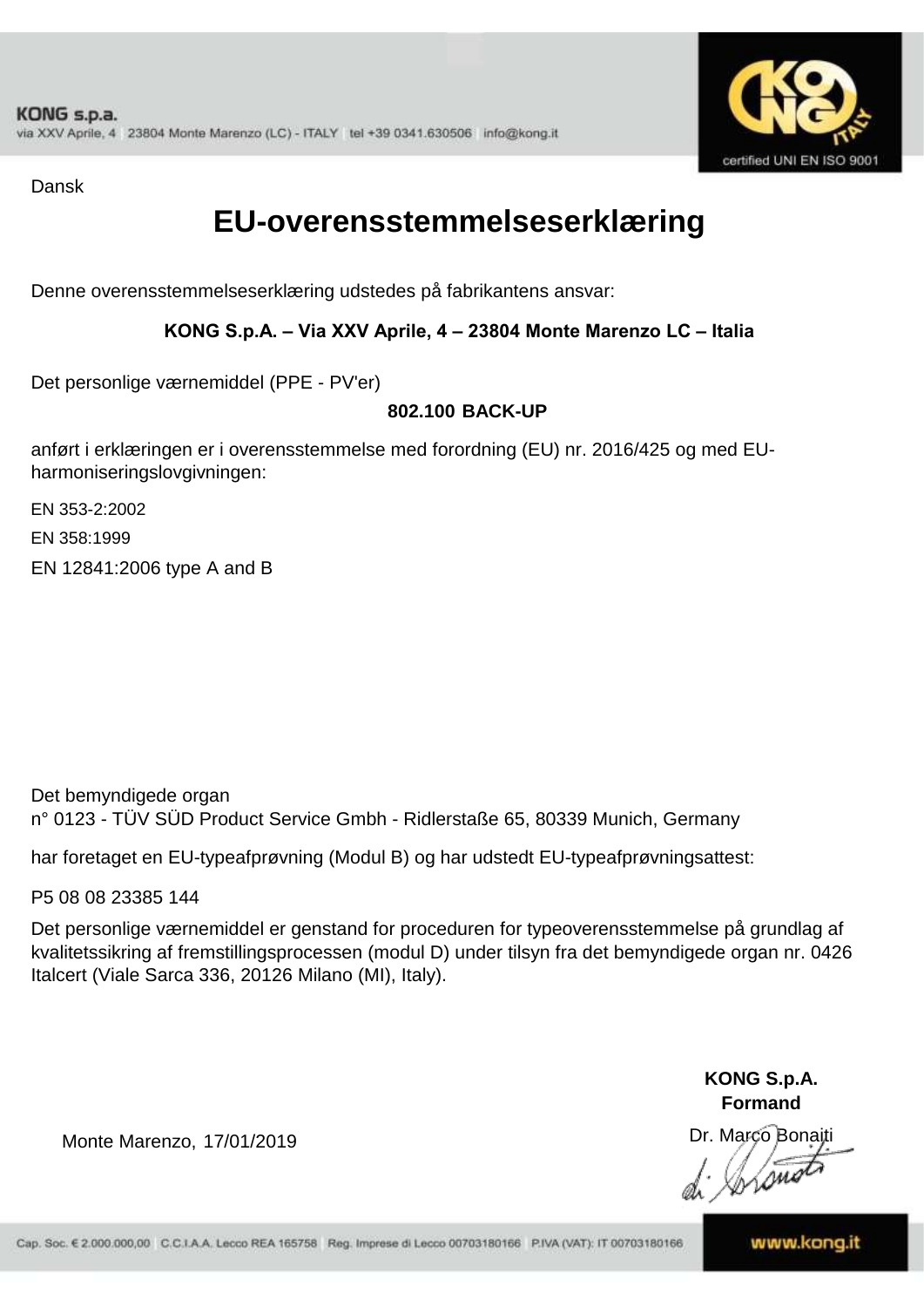

Dansk

### **EU-overensstemmelseserklæring**

Denne overensstemmelseserklæring udstedes på fabrikantens ansvar:

**KONG S.p.A. – Via XXV Aprile, 4 – 23804 Monte Marenzo LC – Italia**

Det personlige værnemiddel (PPE - PV'er)

### **802.100 BACK-UP**

anført i erklæringen er i overensstemmelse med forordning (EU) nr. 2016/425 og med EUharmoniseringslovgivningen:

EN 353-2:2002

EN 358:1999

EN 12841:2006 type A and B

Det bemyndigede organ n° 0123 - TÜV SÜD Product Service Gmbh - Ridlerstaße 65, 80339 Munich, Germany

har foretaget en EU-typeafprøvning (Modul B) og har udstedt EU-typeafprøvningsattest:

P5 08 08 23385 144

Det personlige værnemiddel er genstand for proceduren for typeoverensstemmelse på grundlag af kvalitetssikring af fremstillingsprocessen (modul D) under tilsyn fra det bemyndigede organ nr. 0426 Italcert (Viale Sarca 336, 20126 Milano (MI), Italy).

> **KONG S.p.A. Formand**

Dr. Marco Bonaiti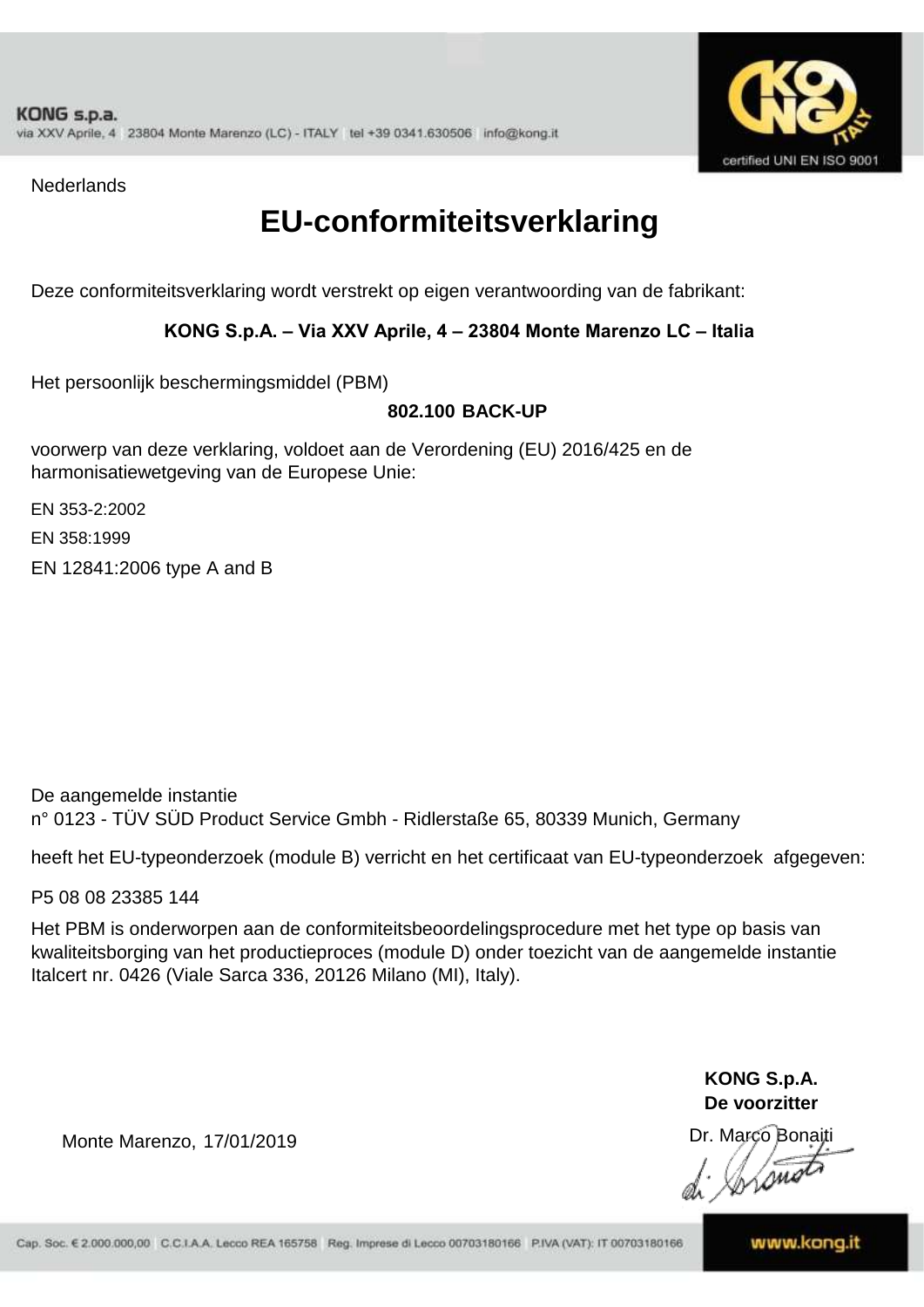

**Nederlands** 

### **EU-conformiteitsverklaring**

Deze conformiteitsverklaring wordt verstrekt op eigen verantwoording van de fabrikant:

#### **KONG S.p.A. – Via XXV Aprile, 4 – 23804 Monte Marenzo LC – Italia**

Het persoonlijk beschermingsmiddel (PBM)

#### **802.100 BACK-UP**

voorwerp van deze verklaring, voldoet aan de Verordening (EU) 2016/425 en de harmonisatiewetgeving van de Europese Unie:

EN 353-2:2002

EN 358:1999

EN 12841:2006 type A and B

De aangemelde instantie n° 0123 - TÜV SÜD Product Service Gmbh - Ridlerstaße 65, 80339 Munich, Germany

heeft het EU-typeonderzoek (module B) verricht en het certificaat van EU-typeonderzoek afgegeven:

P5 08 08 23385 144

Het PBM is onderworpen aan de conformiteitsbeoordelingsprocedure met het type op basis van kwaliteitsborging van het productieproces (module D) onder toezicht van de aangemelde instantie Italcert nr. 0426 (Viale Sarca 336, 20126 Milano (MI), Italy).

> **KONG S.p.A. De voorzitter**

Dr. Marco Bonaiti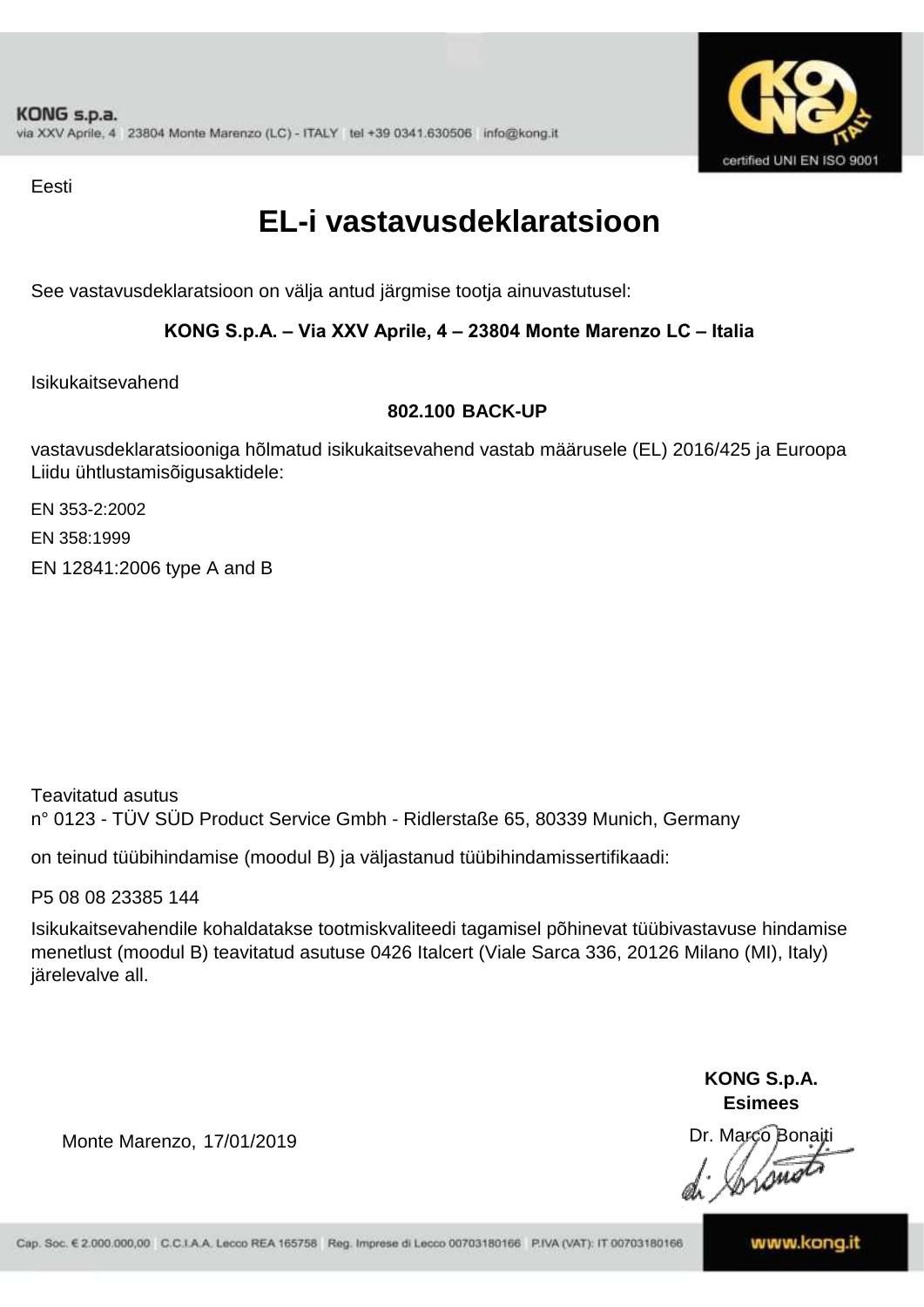

Eesti

### **EL-i vastavusdeklaratsioon**

See vastavusdeklaratsioon on välja antud järgmise tootja ainuvastutusel:

### **KONG S.p.A. – Via XXV Aprile, 4 – 23804 Monte Marenzo LC – Italia**

Isikukaitsevahend

#### **802.100 BACK-UP**

vastavusdeklaratsiooniga hõlmatud isikukaitsevahend vastab määrusele (EL) 2016/425 ja Euroopa Liidu ühtlustamisõigusaktidele:

EN 353-2:2002

EN 358:1999

EN 12841:2006 type A and B

Teavitatud asutus n° 0123 - TÜV SÜD Product Service Gmbh - Ridlerstaße 65, 80339 Munich, Germany

on teinud tüübihindamise (moodul B) ja väljastanud tüübihindamissertifikaadi:

P5 08 08 23385 144

Isikukaitsevahendile kohaldatakse tootmiskvaliteedi tagamisel põhinevat tüübivastavuse hindamise menetlust (moodul B) teavitatud asutuse 0426 Italcert (Viale Sarca 336, 20126 Milano (MI), Italy) järelevalve all.

> **KONG S.p.A. Esimees**

Dr. Marco Bonaiti

Monte Marenzo, 17/01/2019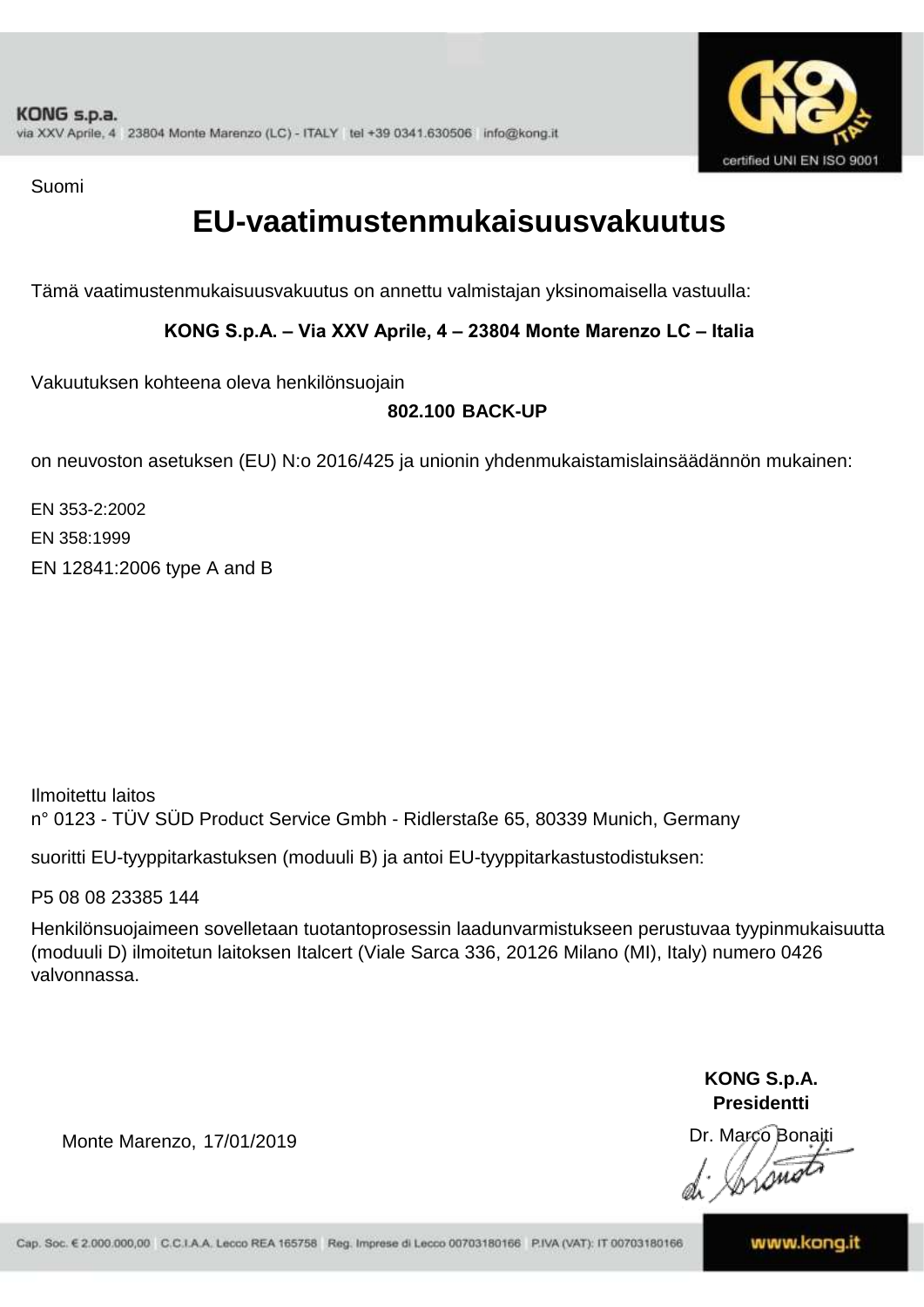

Suomi

### **EU-vaatimustenmukaisuusvakuutus**

Tämä vaatimustenmukaisuusvakuutus on annettu valmistajan yksinomaisella vastuulla:

**KONG S.p.A. – Via XXV Aprile, 4 – 23804 Monte Marenzo LC – Italia**

Vakuutuksen kohteena oleva henkilönsuojain

### **802.100 BACK-UP**

on neuvoston asetuksen (EU) N:o 2016/425 ja unionin yhdenmukaistamislainsäädännön mukainen:

EN 353-2:2002 EN 358:1999 EN 12841:2006 type A and B

Ilmoitettu laitos n° 0123 - TÜV SÜD Product Service Gmbh - Ridlerstaße 65, 80339 Munich, Germany

suoritti EU-tyyppitarkastuksen (moduuli B) ja antoi EU-tyyppitarkastustodistuksen:

P5 08 08 23385 144

Henkilönsuojaimeen sovelletaan tuotantoprosessin laadunvarmistukseen perustuvaa tyypinmukaisuutta (moduuli D) ilmoitetun laitoksen Italcert (Viale Sarca 336, 20126 Milano (MI), Italy) numero 0426 valvonnassa.

> **KONG S.p.A. Presidentti**

Dr. Marco Bonaiti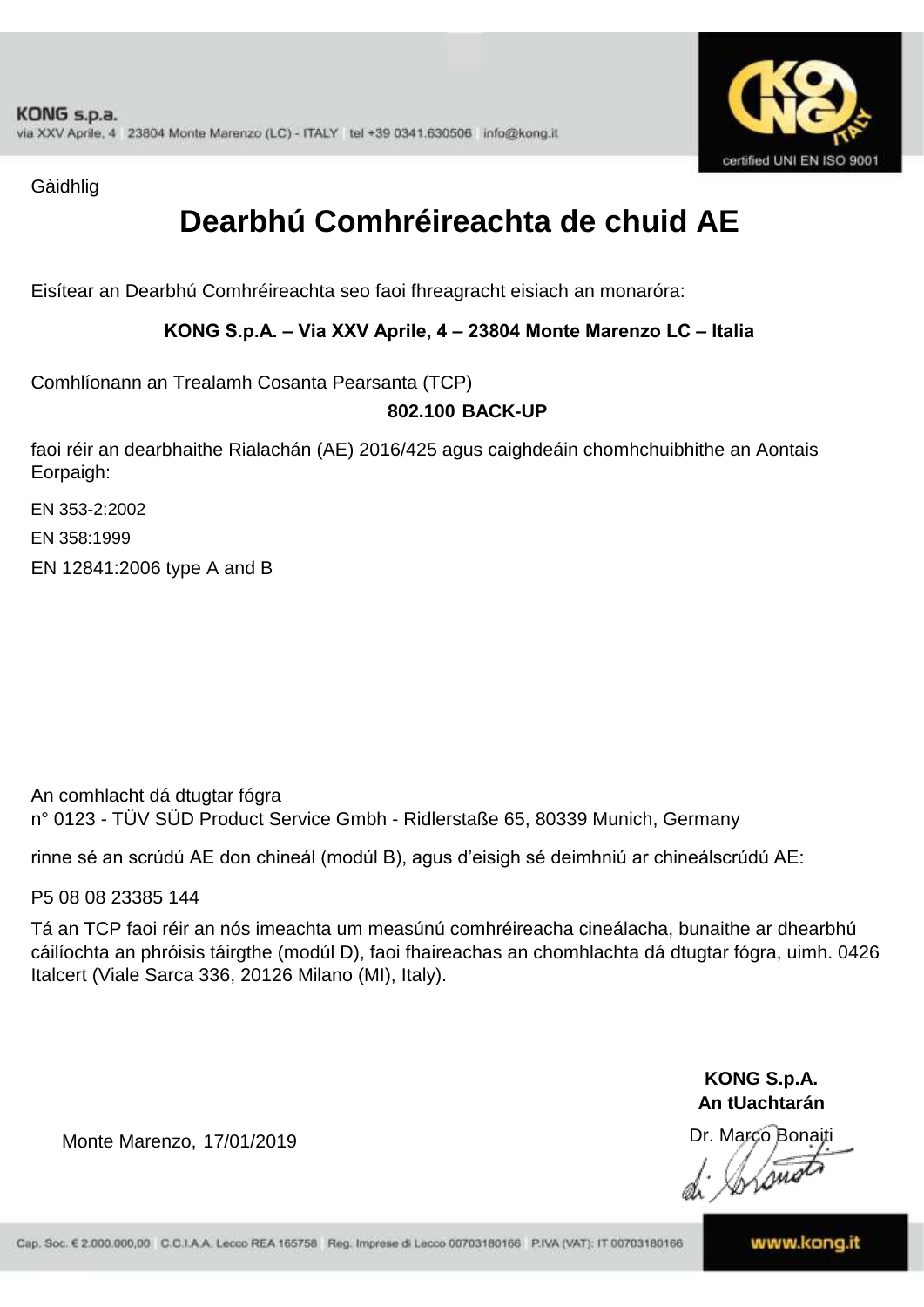

Gàidhlig

## **Dearbhú Comhréireachta de chuid AE**

Eisítear an Dearbhú Comhréireachta seo faoi fhreagracht eisiach an monaróra:

**KONG S.p.A. – Via XXV Aprile, 4 – 23804 Monte Marenzo LC – Italia**

Comhlíonann an Trealamh Cosanta Pearsanta (TCP)

### **802.100 BACK-UP**

faoi réir an dearbhaithe Rialachán (AE) 2016/425 agus caighdeáin chomhchuibhithe an Aontais Eorpaigh:

EN 353-2:2002

EN 358:1999

EN 12841:2006 type A and B

An comhlacht dá dtugtar fógra n° 0123 - TÜV SÜD Product Service Gmbh - Ridlerstaße 65, 80339 Munich, Germany

rinne sé an scrúdú AE don chineál (modúl B), agus d'eisigh sé deimhniú ar chineálscrúdú AE:

P5 08 08 23385 144

Tá an TCP faoi réir an nós imeachta um measúnú comhréireacha cineálacha, bunaithe ar dhearbhú cáilíochta an phróisis táirgthe (modúl D), faoi fhaireachas an chomhlachta dá dtugtar fógra, uimh. 0426 Italcert (Viale Sarca 336, 20126 Milano (MI), Italy).

> **KONG S.p.A. An tUachtarán**

Dr. Marco Bonaiti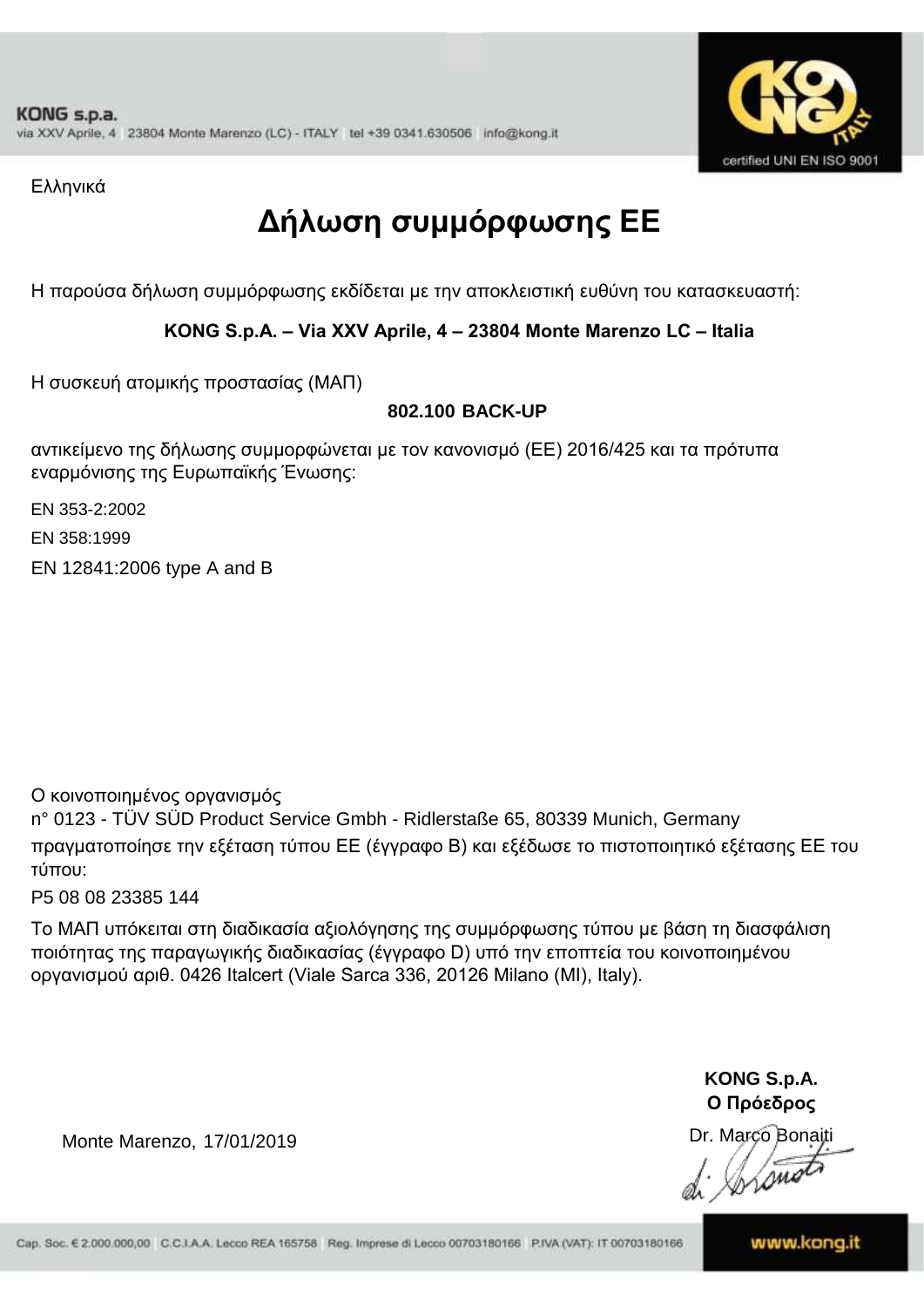

Ελληνικά

# **Δήλωση συμμόρφωσης ΕE**

Η παρούσα δήλωση συμμόρφωσης εκδίδεται με την αποκλειστική ευθύνη του κατασκευαστή:

### **KONG S.p.A. – Via XXV Aprile, 4 – 23804 Monte Marenzo LC – Italia**

Η συσκευή ατομικής προστασίας (ΜΑΠ)

### **802.100 BACK-UP**

αντικείμενο της δήλωσης συμμορφώνεται με τον κανονισμό (ΕΕ) 2016/425 και τα πρότυπα εναρμόνισης της Ευρωπαϊκής Ένωσης:

EN 353-2:2002

EN 358:1999

EN 12841:2006 type A and B

Ο κοινοποιημένος οργανισμός

n° 0123 - TÜV SÜD Product Service Gmbh - Ridlerstaße 65, 80339 Munich, Germany πραγματοποίησε την εξέταση τύπου ΕΕ (έγγραφο Β) και εξέδωσε το πιστοποιητικό εξέτασης ΕΕ του τύπου:

P5 08 08 23385 144

Το ΜΑΠ υπόκειται στη διαδικασία αξιολόγησης της συμμόρφωσης τύπου με βάση τη διασφάλιση ποιότητας της παραγωγικής διαδικασίας (έγγραφο D) υπό την εποπτεία του κοινοποιημένου οργανισμού αριθ. 0426 Italcert (Viale Sarca 336, 20126 Milano (MI), Italy).

> **KONG S.p.A. Ο Πρόεδρος**

Dr. Marco Bonaiti

Lome

Monte Marenzo, 17/01/2019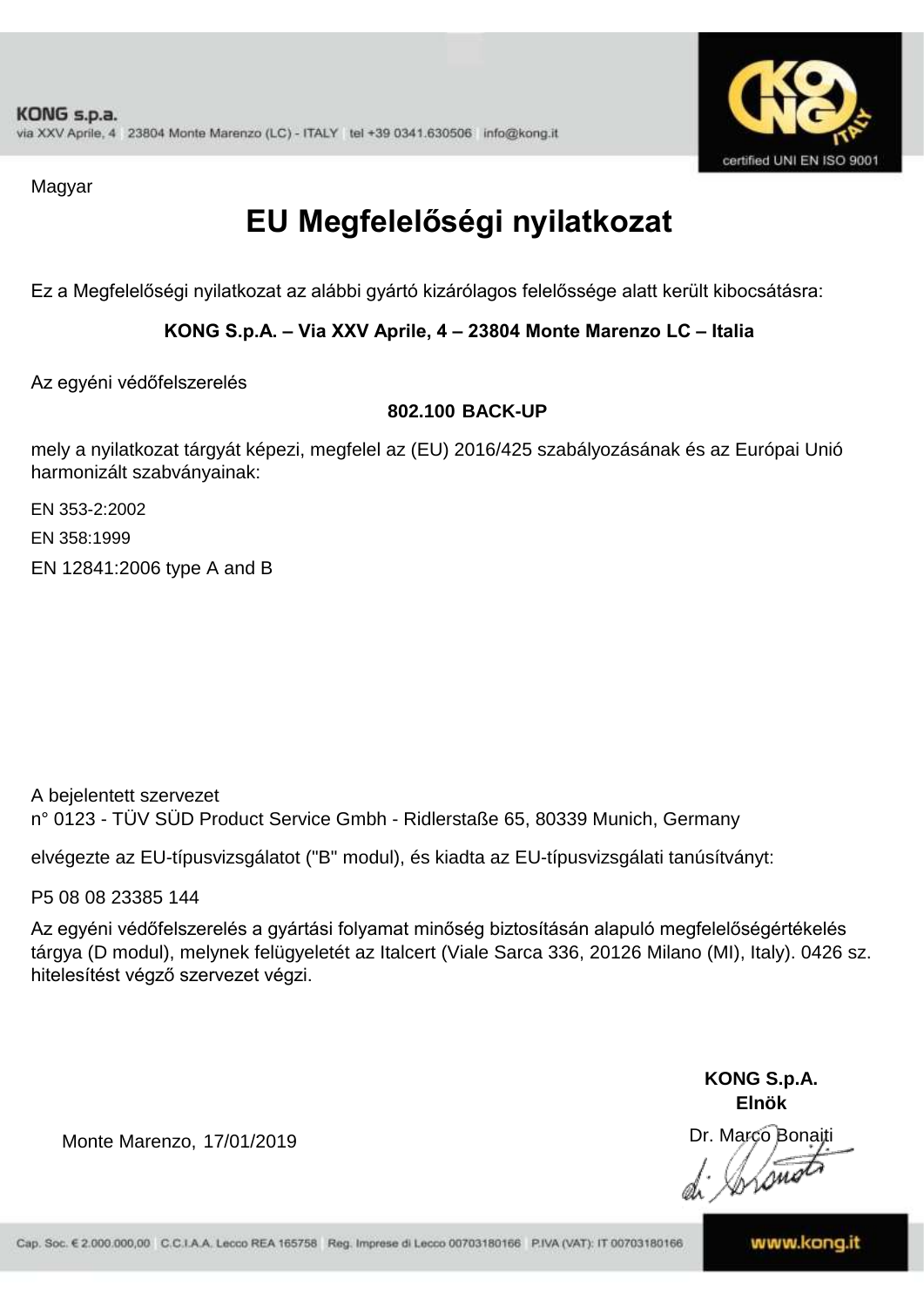

Magyar

# **EU Megfelelőségi nyilatkozat**

Ez a Megfelelőségi nyilatkozat az alábbi gyártó kizárólagos felelőssége alatt került kibocsátásra:

**KONG S.p.A. – Via XXV Aprile, 4 – 23804 Monte Marenzo LC – Italia**

Az egyéni védőfelszerelés

#### **802.100 BACK-UP**

mely a nyilatkozat tárgyát képezi, megfelel az (EU) 2016/425 szabályozásának és az Európai Unió harmonizált szabványainak:

EN 353-2:2002

EN 358:1999

EN 12841:2006 type A and B

A bejelentett szervezet n° 0123 - TÜV SÜD Product Service Gmbh - Ridlerstaße 65, 80339 Munich, Germany

elvégezte az EU-típusvizsgálatot ("B" modul), és kiadta az EU-típusvizsgálati tanúsítványt:

P5 08 08 23385 144

Az egyéni védőfelszerelés a gyártási folyamat minőség biztosításán alapuló megfelelőségértékelés tárgya (D modul), melynek felügyeletét az Italcert (Viale Sarca 336, 20126 Milano (MI), Italy). 0426 sz. hitelesítést végző szervezet végzi.

> **KONG S.p.A. Elnök**

Dr. Marco Bonaiti  $\sqrt{2m}$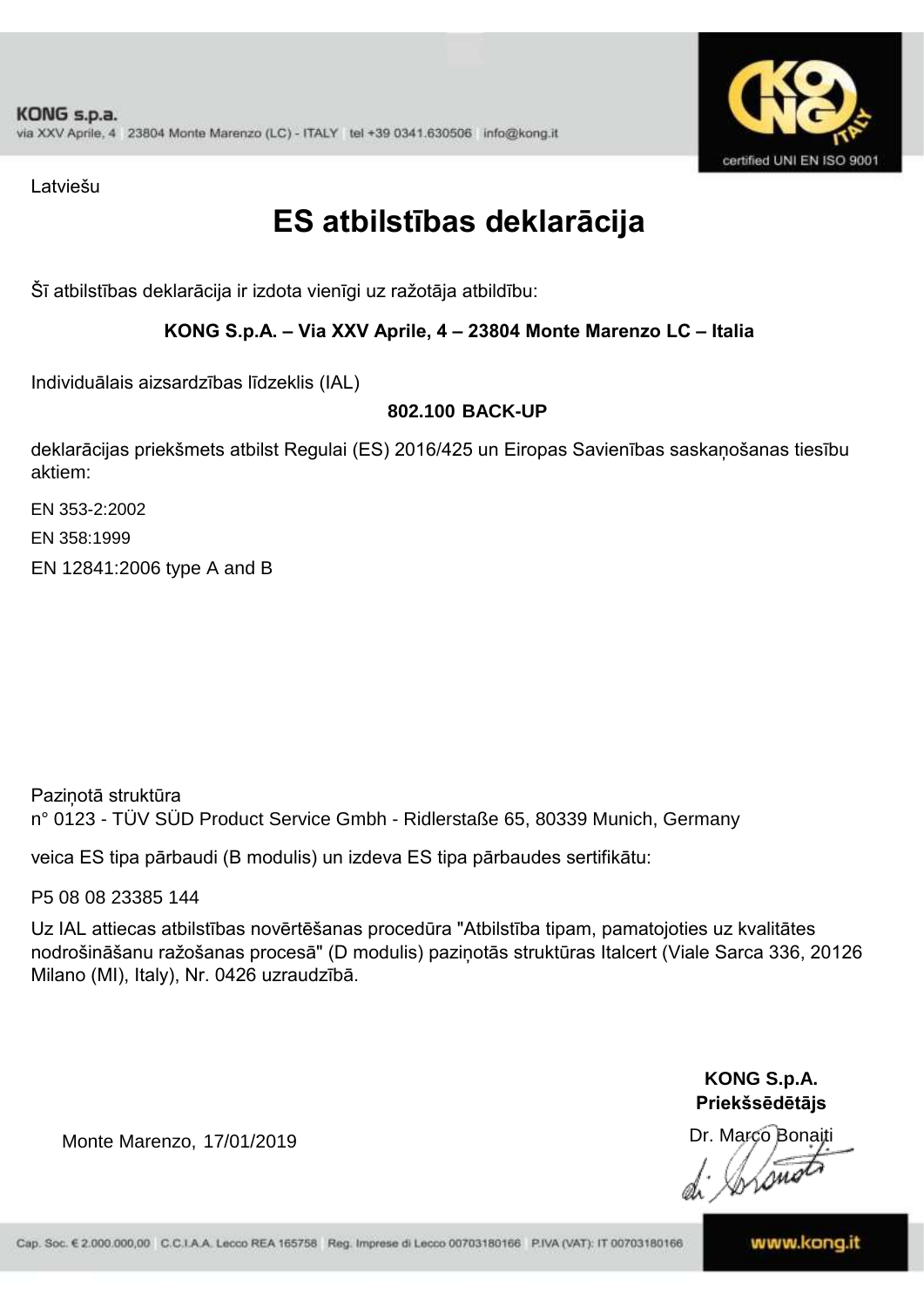

Latviešu

### **ES atbilstības deklarācija**

Šī atbilstības deklarācija ir izdota vienīgi uz ražotāja atbildību:

#### **KONG S.p.A. – Via XXV Aprile, 4 – 23804 Monte Marenzo LC – Italia**

Individuālais aizsardzības līdzeklis (IAL)

#### **802.100 BACK-UP**

deklarācijas priekšmets atbilst Regulai (ES) 2016/425 un Eiropas Savienības saskaņošanas tiesību aktiem:

EN 353-2:2002

EN 358:1999

EN 12841:2006 type A and B

Paziņotā struktūra n° 0123 - TÜV SÜD Product Service Gmbh - Ridlerstaße 65, 80339 Munich, Germany

veica ES tipa pārbaudi (B modulis) un izdeva ES tipa pārbaudes sertifikātu:

P5 08 08 23385 144

Uz IAL attiecas atbilstības novērtēšanas procedūra "Atbilstība tipam, pamatojoties uz kvalitātes nodrošināšanu ražošanas procesā" (D modulis) paziņotās struktūras Italcert (Viale Sarca 336, 20126 Milano (MI), Italy), Nr. 0426 uzraudzībā.

> **KONG S.p.A. Priekšsēdētājs**

Dr. Marco Bonaiti

 $\sqrt{\mathcal{S}^{\mu}}$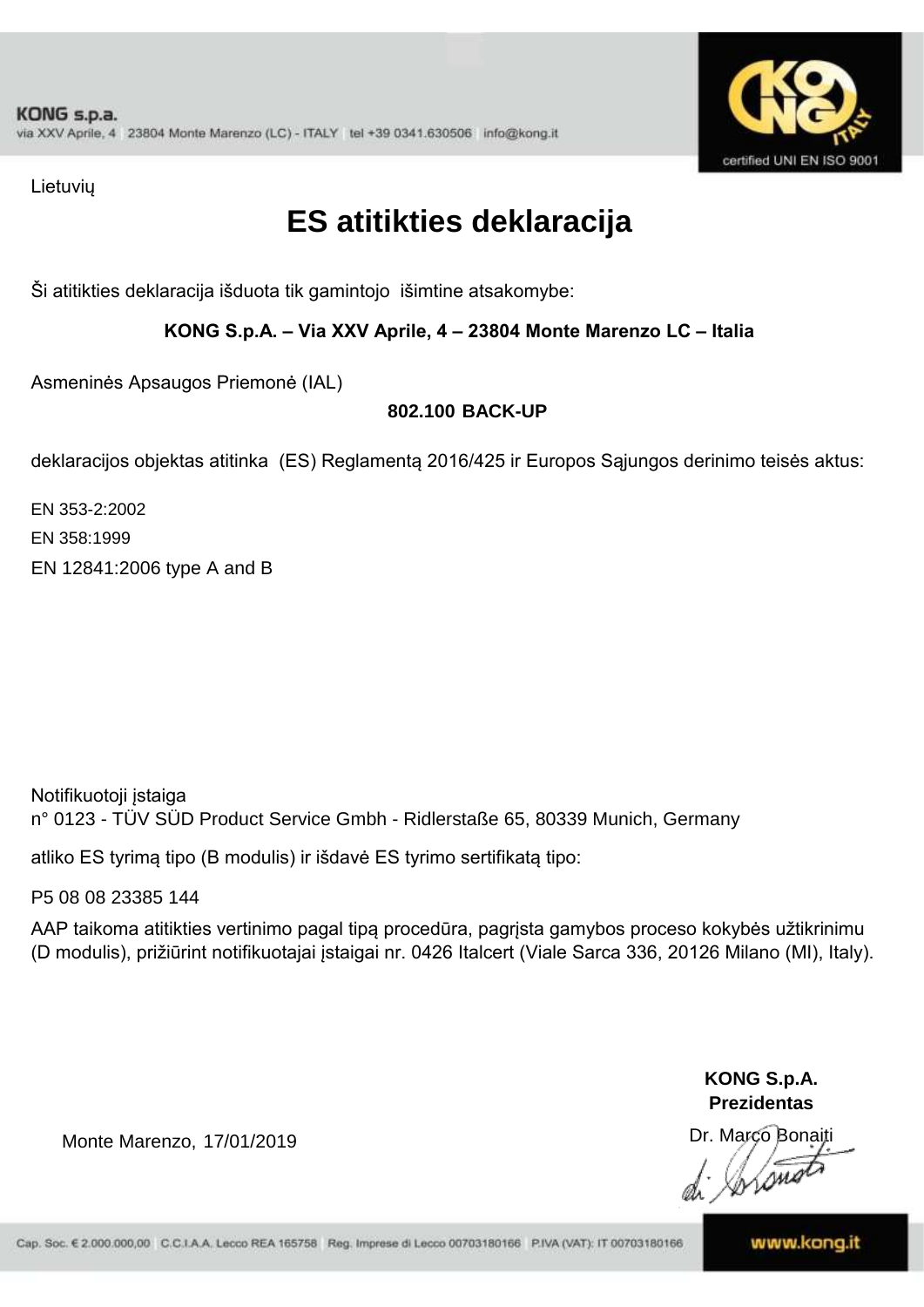

Lietuvių

## **ES atitikties deklaracija**

Ši atitikties deklaracija išduota tik gamintojo išimtine atsakomybe:

#### **KONG S.p.A. – Via XXV Aprile, 4 – 23804 Monte Marenzo LC – Italia**

Asmeninės Apsaugos Priemonė (IAL)

#### **802.100 BACK-UP**

deklaracijos objektas atitinka (ES) Reglamentą 2016/425 ir Europos Sąjungos derinimo teisės aktus:

EN 358:1999 EN 12841:2006 type A and B EN 353-2:2002

Notifikuotoji įstaiga n° 0123 - TÜV SÜD Product Service Gmbh - Ridlerstaße 65, 80339 Munich, Germany

atliko ES tyrimą tipo (B modulis) ir išdavė ES tyrimo sertifikatą tipo:

P5 08 08 23385 144

AAP taikoma atitikties vertinimo pagal tipą procedūra, pagrįsta gamybos proceso kokybės užtikrinimu (D modulis), prižiūrint notifikuotajai įstaigai nr. 0426 Italcert (Viale Sarca 336, 20126 Milano (MI), Italy).

> **KONG S.p.A. Prezidentas**

Dr. Marco Bonaiti

Monte Marenzo, 17/01/2019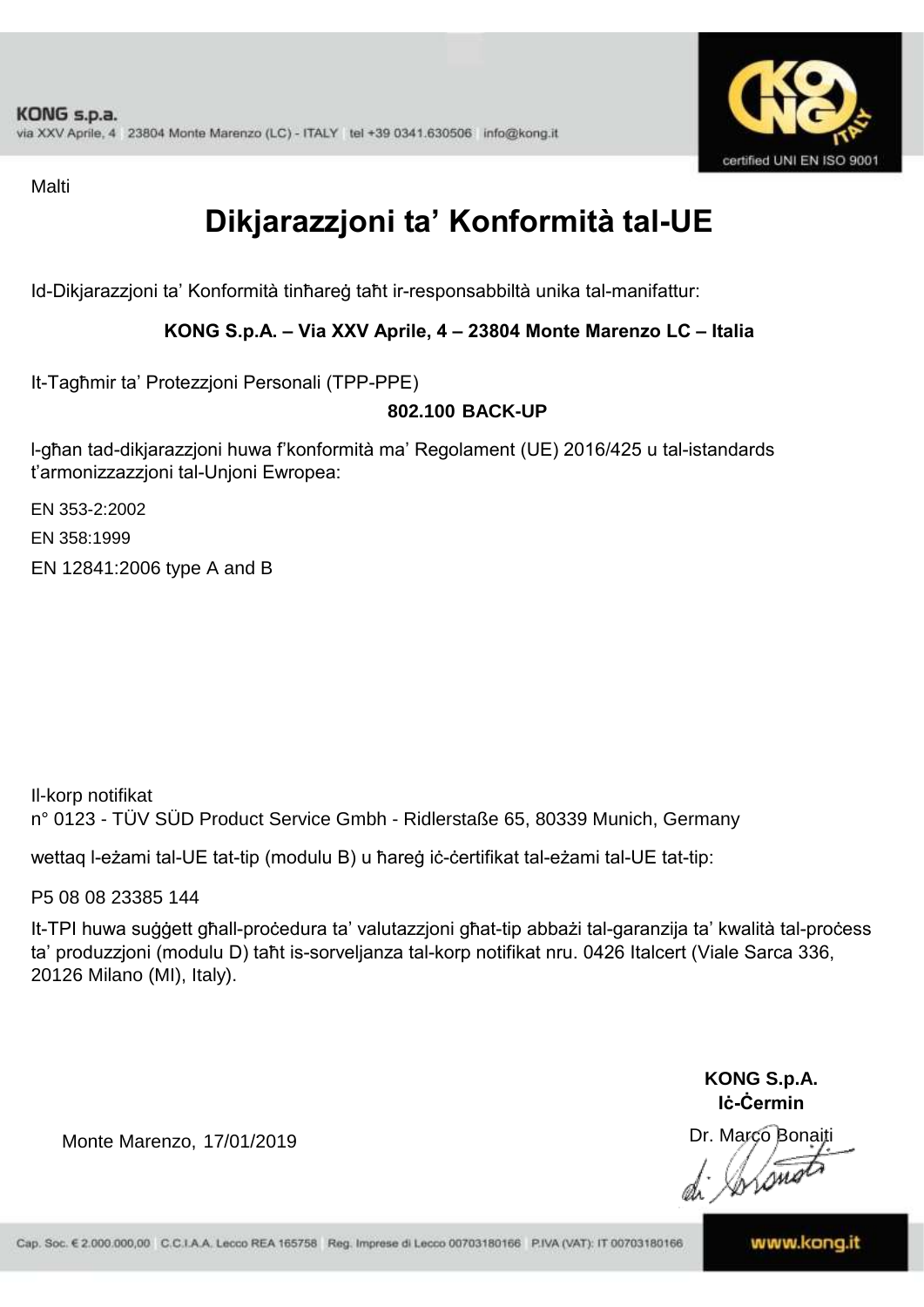

**Malti** 

## **Dikjarazzjoni ta' Konformità tal-UE**

Id-Dikjarazzjoni ta' Konformità tinħareġ taħt ir-responsabbiltà unika tal-manifattur:

**KONG S.p.A. – Via XXV Aprile, 4 – 23804 Monte Marenzo LC – Italia**

It-Tagħmir ta' Protezzjoni Personali (TPP-PPE)

#### **802.100 BACK-UP**

l-għan tad-dikjarazzjoni huwa f'konformità ma' Regolament (UE) 2016/425 u tal-istandards t'armonizzazzjoni tal-Unjoni Ewropea:

EN 353-2:2002

EN 358:1999

EN 12841:2006 type A and B

Il-korp notifikat n° 0123 - TÜV SÜD Product Service Gmbh - Ridlerstaße 65, 80339 Munich, Germany

wettaq l-eżami tal-UE tat-tip (modulu B) u ħareġ iċ-ċertifikat tal-eżami tal-UE tat-tip:

P5 08 08 23385 144

It-TPI huwa suġġett għall-proċedura ta' valutazzjoni għat-tip abbażi tal-garanzija ta' kwalità tal-proċess ta' produzzjoni (modulu D) taħt is-sorveljanza tal-korp notifikat nru. 0426 Italcert (Viale Sarca 336, 20126 Milano (MI), Italy).

> **KONG S.p.A. Iċ-Ċermin**

Dr. Marco Bonaiti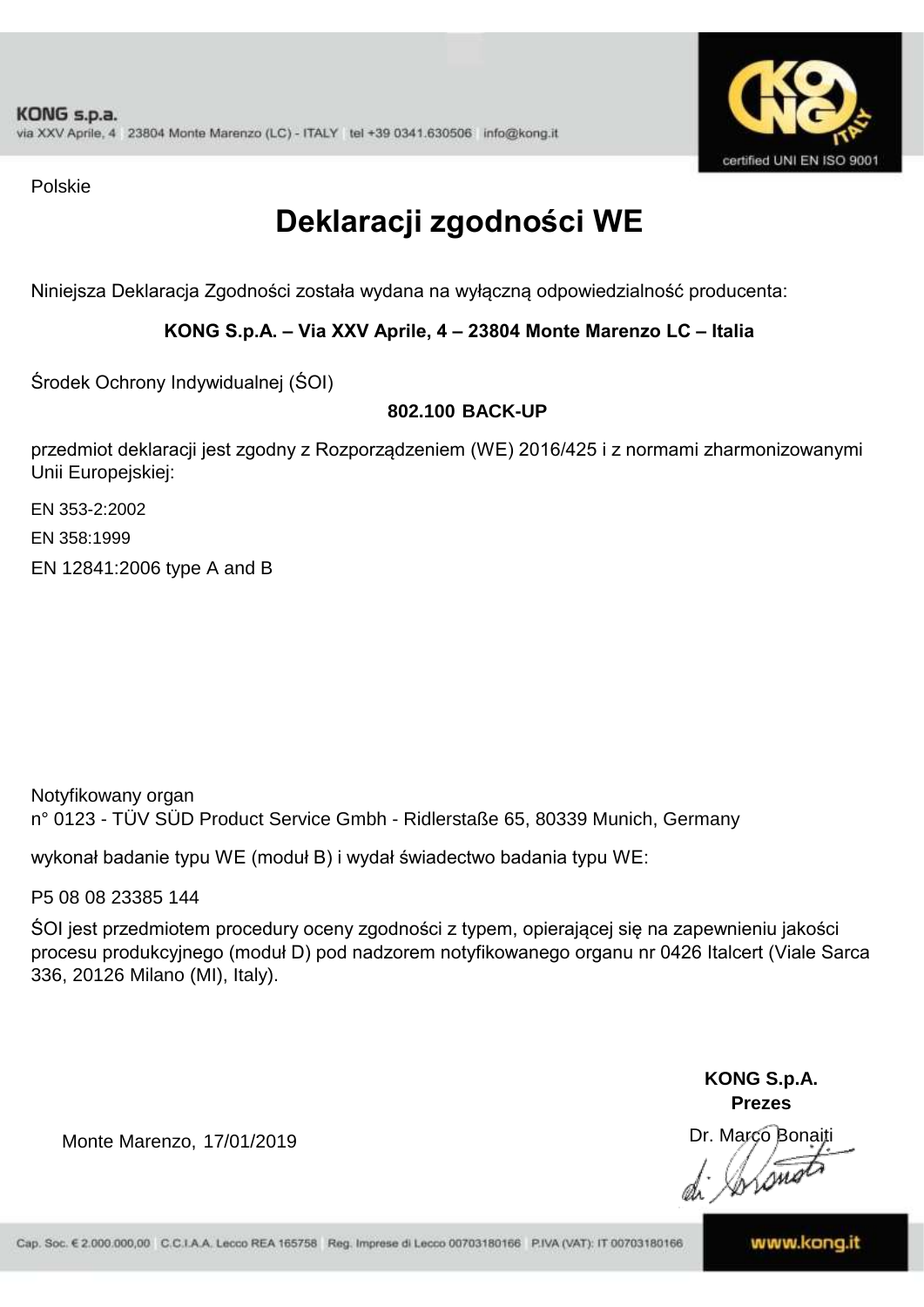

Polskie

# **Deklaracji zgodności WE**

Niniejsza Deklaracja Zgodności została wydana na wyłączną odpowiedzialność producenta:

### **KONG S.p.A. – Via XXV Aprile, 4 – 23804 Monte Marenzo LC – Italia**

Środek Ochrony Indywidualnej (ŚOI)

### **802.100 BACK-UP**

przedmiot deklaracji jest zgodny z Rozporządzeniem (WE) 2016/425 i z normami zharmonizowanymi Unii Europejskiej:

EN 353-2:2002

EN 358:1999

EN 12841:2006 type A and B

Notyfikowany organ n° 0123 - TÜV SÜD Product Service Gmbh - Ridlerstaße 65, 80339 Munich, Germany

wykonał badanie typu WE (moduł B) i wydał świadectwo badania typu WE:

P5 08 08 23385 144

ŚOI jest przedmiotem procedury oceny zgodności z typem, opierającej się na zapewnieniu jakości procesu produkcyjnego (moduł D) pod nadzorem notyfikowanego organu nr 0426 Italcert (Viale Sarca 336, 20126 Milano (MI), Italy).

> **KONG S.p.A. Prezes**

Dr. Marco Bonaiti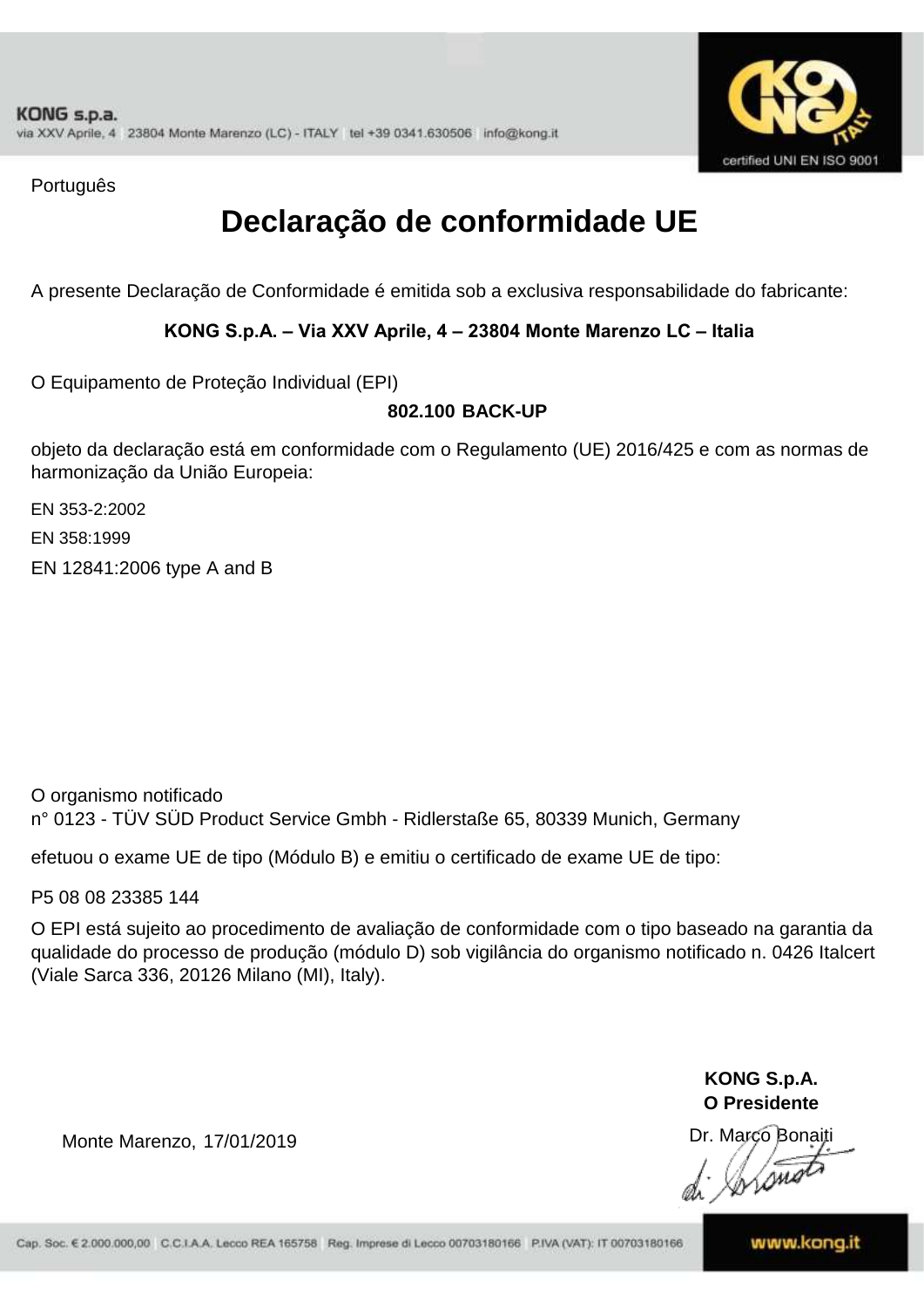

Português

### **Declaração de conformidade UE**

A presente Declaração de Conformidade é emitida sob a exclusiva responsabilidade do fabricante:

#### **KONG S.p.A. – Via XXV Aprile, 4 – 23804 Monte Marenzo LC – Italia**

O Equipamento de Proteção Individual (EPI)

#### **802.100 BACK-UP**

objeto da declaração está em conformidade com o Regulamento (UE) 2016/425 e com as normas de harmonização da União Europeia:

EN 353-2:2002

EN 358:1999

EN 12841:2006 type A and B

O organismo notificado n° 0123 - TÜV SÜD Product Service Gmbh - Ridlerstaße 65, 80339 Munich, Germany

efetuou o exame UE de tipo (Módulo B) e emitiu o certificado de exame UE de tipo:

P5 08 08 23385 144

O EPI está sujeito ao procedimento de avaliação de conformidade com o tipo baseado na garantia da qualidade do processo de produção (módulo D) sob vigilância do organismo notificado n. 0426 Italcert (Viale Sarca 336, 20126 Milano (MI), Italy).

> **KONG S.p.A. O Presidente**

Dr. Marco Bonaiti

Monte Marenzo, 17/01/2019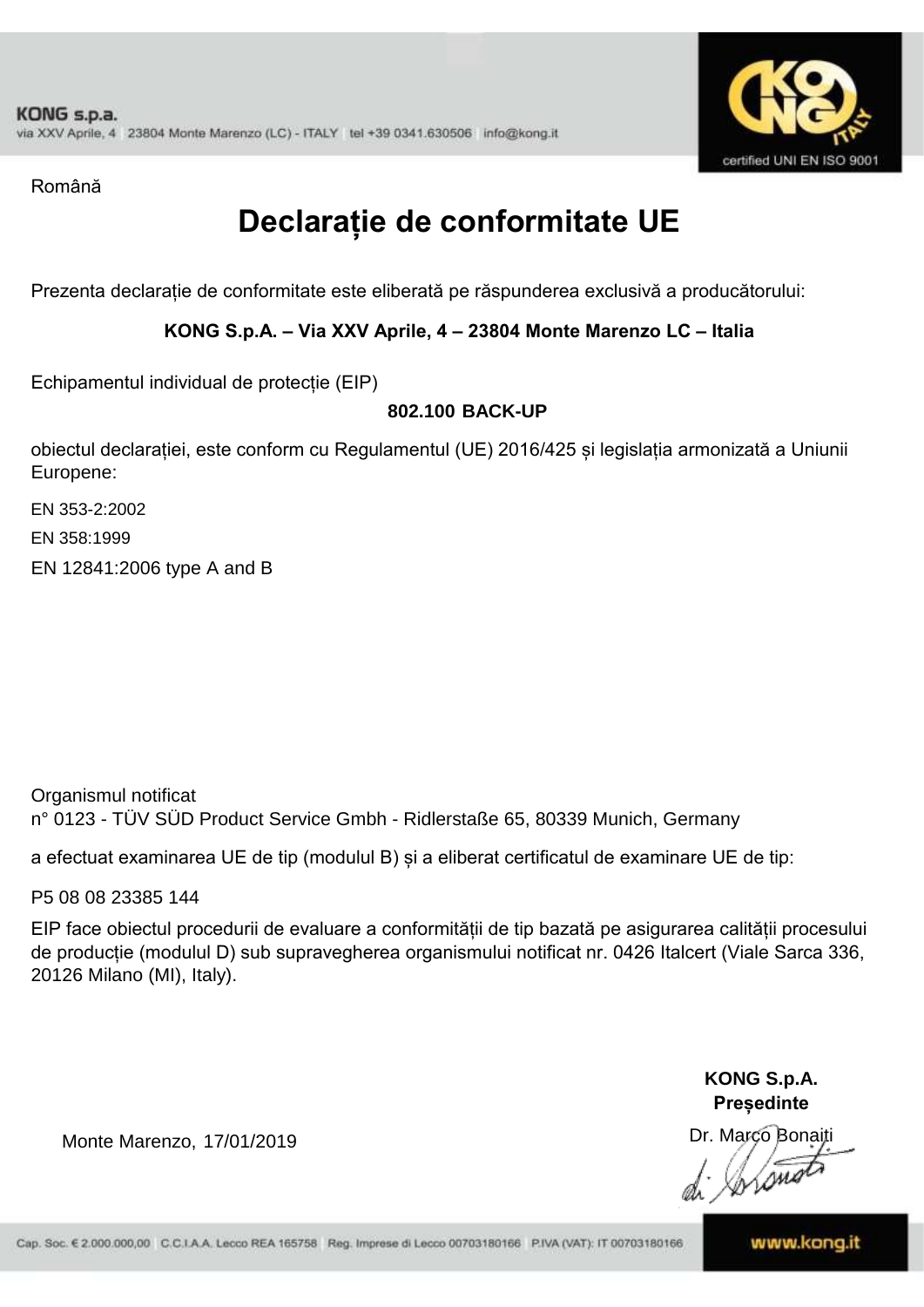

Română

## **Declarație de conformitate UE**

Prezenta declarație de conformitate este eliberată pe răspunderea exclusivă a producătorului:

#### **KONG S.p.A. – Via XXV Aprile, 4 – 23804 Monte Marenzo LC – Italia**

Echipamentul individual de protecție (EIP)

### **802.100 BACK-UP**

obiectul declarației, este conform cu Regulamentul (UE) 2016/425 și legislația armonizată a Uniunii Europene:

EN 353-2:2002

EN 358:1999

EN 12841:2006 type A and B

Organismul notificat n° 0123 - TÜV SÜD Product Service Gmbh - Ridlerstaße 65, 80339 Munich, Germany

a efectuat examinarea UE de tip (modulul B) și a eliberat certificatul de examinare UE de tip:

P5 08 08 23385 144

EIP face obiectul procedurii de evaluare a conformității de tip bazată pe asigurarea calității procesului de producție (modulul D) sub supravegherea organismului notificat nr. 0426 Italcert (Viale Sarca 336, 20126 Milano (MI), Italy).

> **KONG S.p.A. Președinte**

Dr. Marco Bonaiti  $\measuredangle$ ssu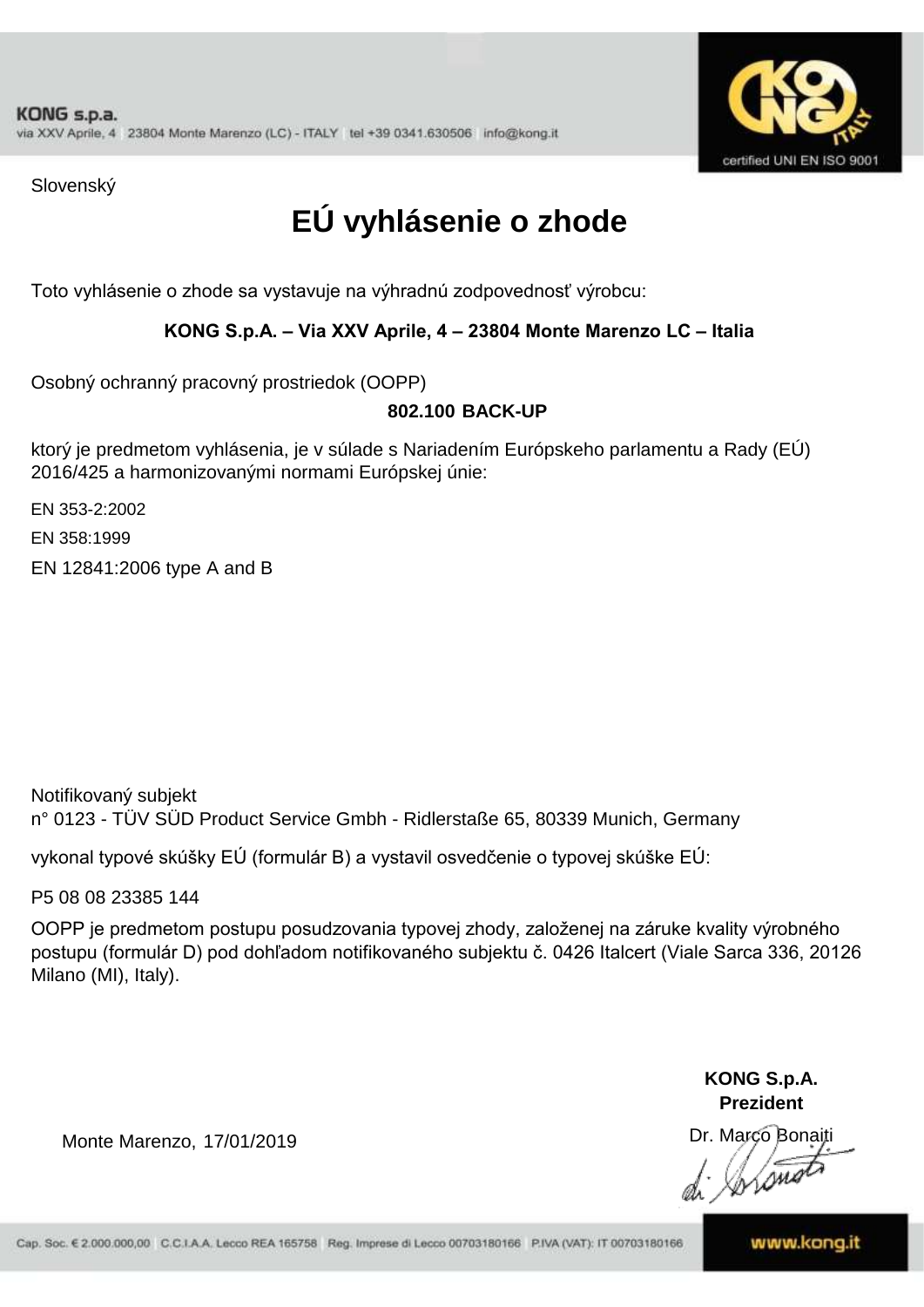

Slovenský

# **EÚ vyhlásenie o zhode**

Toto vyhlásenie o zhode sa vystavuje na výhradnú zodpovednosť výrobcu:

#### **KONG S.p.A. – Via XXV Aprile, 4 – 23804 Monte Marenzo LC – Italia**

Osobný ochranný pracovný prostriedok (OOPP)

#### **802.100 BACK-UP**

ktorý je predmetom vyhlásenia, je v súlade s Nariadením Európskeho parlamentu a Rady (EÚ) 2016/425 a harmonizovanými normami Európskej únie:

EN 353-2:2002

EN 358:1999

EN 12841:2006 type A and B

n° 0123 - TÜV SÜD Product Service Gmbh - Ridlerstaße 65, 80339 Munich, Germany Notifikovaný subjekt

vykonal typové skúšky EÚ (formulár B) a vystavil osvedčenie o typovej skúške EÚ:

P5 08 08 23385 144

OOPP je predmetom postupu posudzovania typovej zhody, založenej na záruke kvality výrobného postupu (formulár D) pod dohľadom notifikovaného subjektu č. 0426 Italcert (Viale Sarca 336, 20126 Milano (MI), Italy).

> **KONG S.p.A. Prezident**

Dr. Marco Bonaiti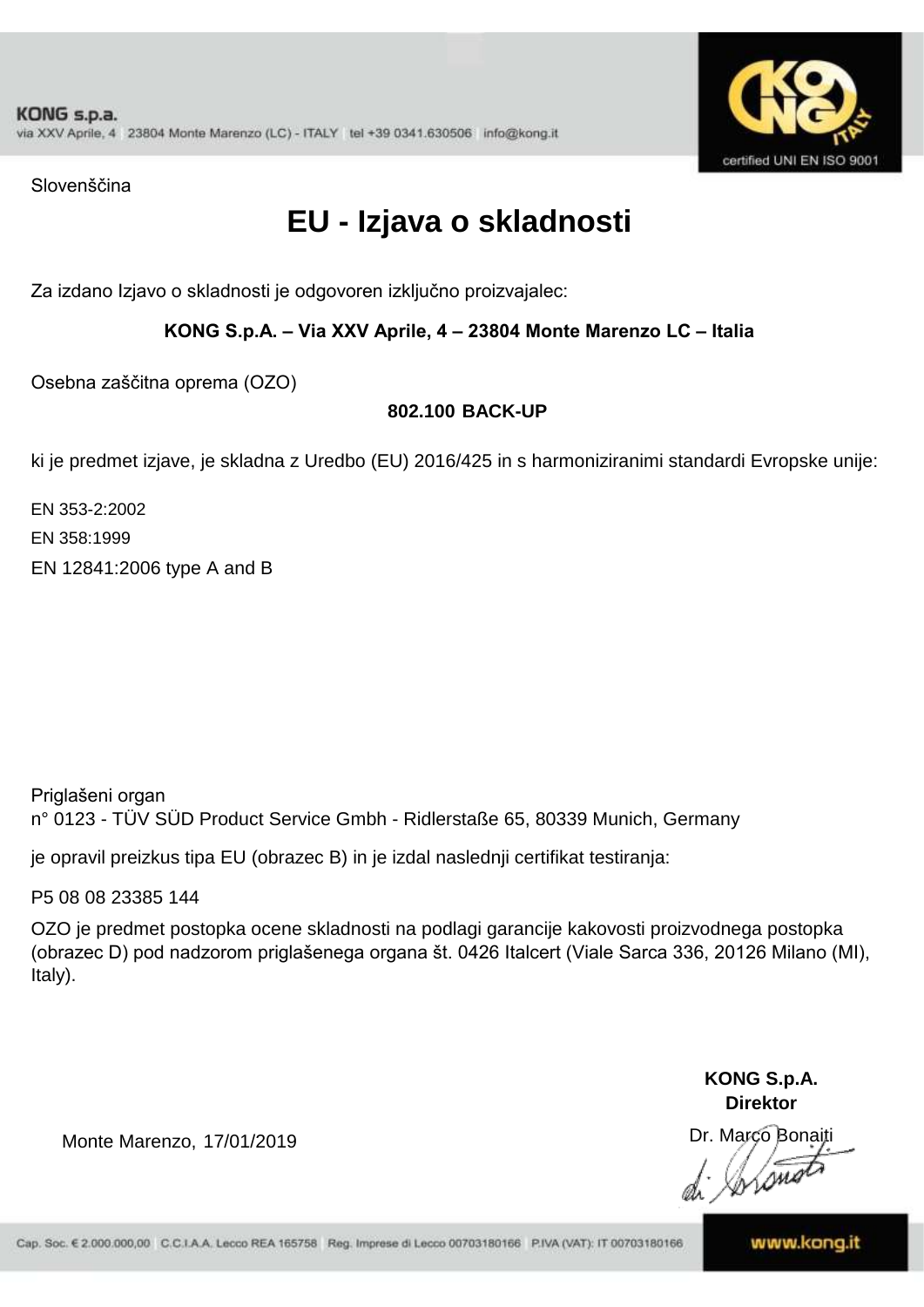

Slovenščina

## **EU - Izjava o skladnosti**

Za izdano Izjavo o skladnosti je odgovoren izključno proizvajalec:

**KONG S.p.A. – Via XXV Aprile, 4 – 23804 Monte Marenzo LC – Italia**

Osebna zaščitna oprema (OZO)

### **802.100 BACK-UP**

ki je predmet izjave, je skladna z Uredbo (EU) 2016/425 in s harmoniziranimi standardi Evropske unije:

EN 358:1999 EN 12841:2006 type A and B EN 353-2:2002

Priglašeni organ n° 0123 - TÜV SÜD Product Service Gmbh - Ridlerstaße 65, 80339 Munich, Germany

je opravil preizkus tipa EU (obrazec B) in je izdal naslednji certifikat testiranja:

P5 08 08 23385 144

OZO je predmet postopka ocene skladnosti na podlagi garancije kakovosti proizvodnega postopka (obrazec D) pod nadzorom priglašenega organa št. 0426 Italcert (Viale Sarca 336, 20126 Milano (MI), Italy).

> **KONG S.p.A. Direktor**

Dr. Marco Bonaiti

Monte Marenzo, 17/01/2019